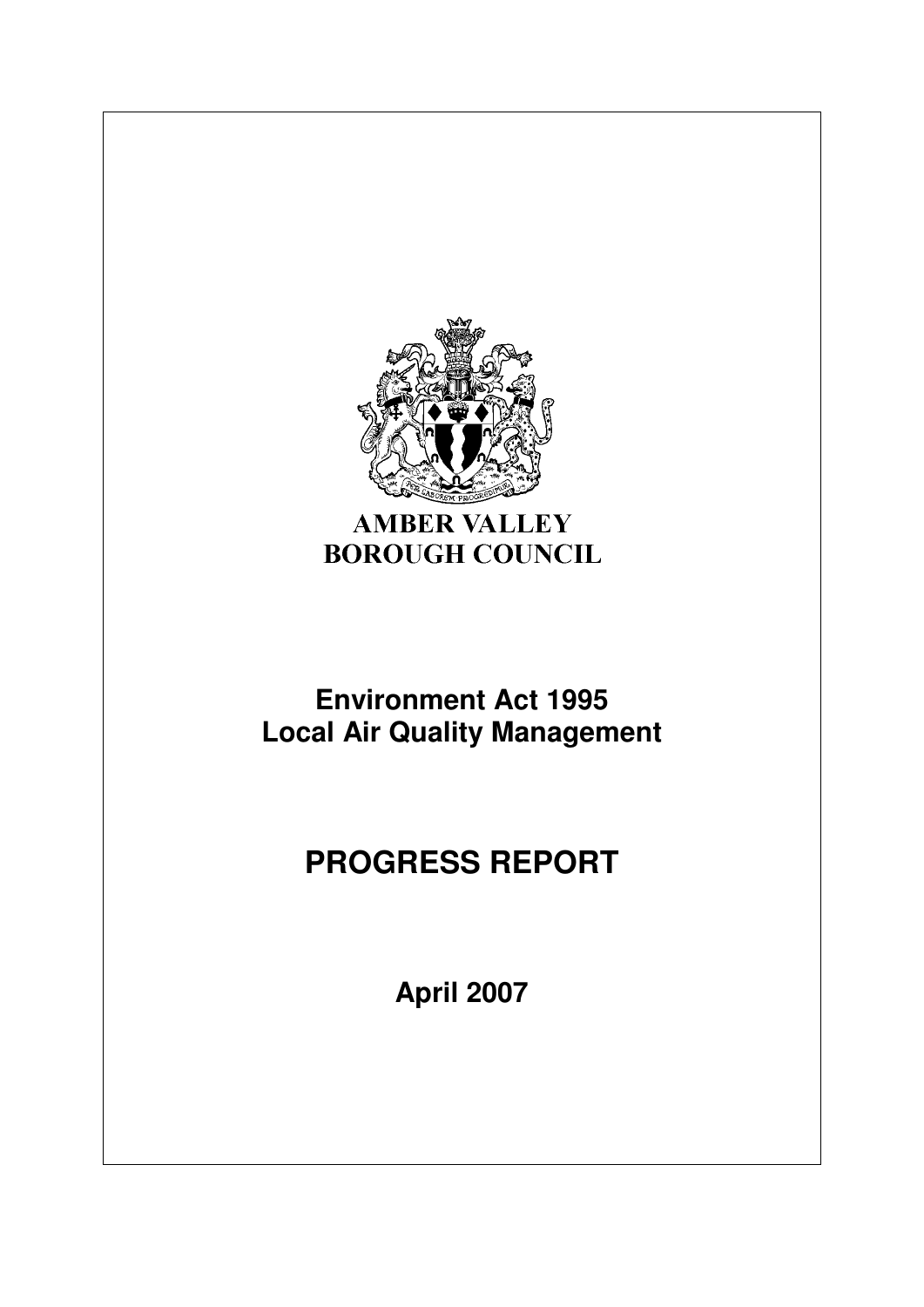

# **AMBER VALLEY BOROUGH COUNCIL**

# **Environment Act 1995 Local Air Quality Management**

# **PROGRESS REPORT**

**April 2007**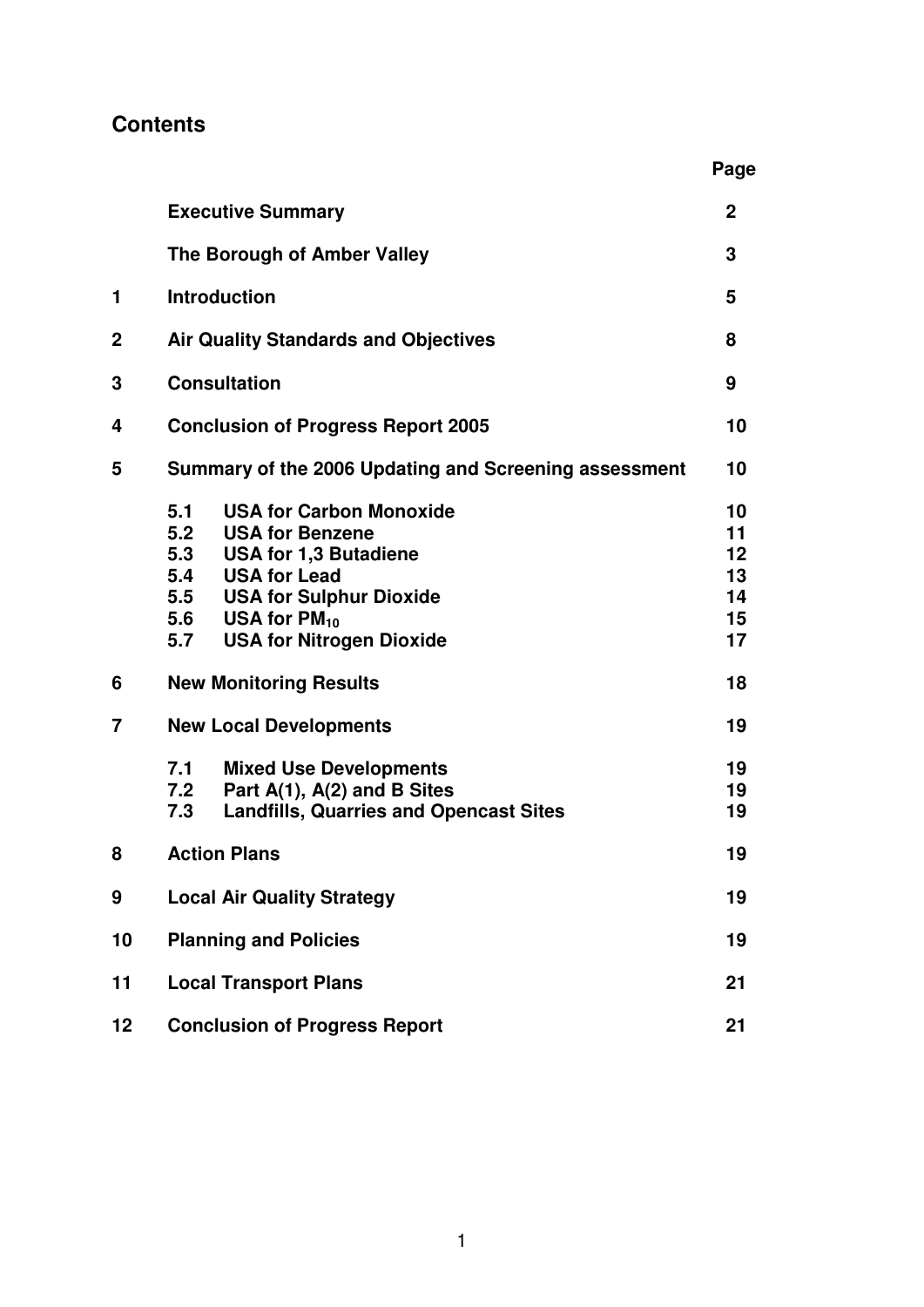# **Contents**

|        | <b>Executive Summary</b>                                                                                                                                                                                                                                                                                                                                                                                                                    | $\mathbf{2}$                                                                        |  |
|--------|---------------------------------------------------------------------------------------------------------------------------------------------------------------------------------------------------------------------------------------------------------------------------------------------------------------------------------------------------------------------------------------------------------------------------------------------|-------------------------------------------------------------------------------------|--|
|        | The Borough of Amber Valley                                                                                                                                                                                                                                                                                                                                                                                                                 | 3                                                                                   |  |
| 1      | <b>Introduction</b>                                                                                                                                                                                                                                                                                                                                                                                                                         | 5                                                                                   |  |
| 2      | <b>Air Quality Standards and Objectives</b>                                                                                                                                                                                                                                                                                                                                                                                                 | 8                                                                                   |  |
| 3      | <b>Consultation</b>                                                                                                                                                                                                                                                                                                                                                                                                                         | 9                                                                                   |  |
| 4      | <b>Conclusion of Progress Report 2005</b>                                                                                                                                                                                                                                                                                                                                                                                                   | 10                                                                                  |  |
| 5      | Summary of the 2006 Updating and Screening assessment                                                                                                                                                                                                                                                                                                                                                                                       | 10                                                                                  |  |
| 6<br>7 | <b>USA for Carbon Monoxide</b><br>5.1<br>5.2<br><b>USA for Benzene</b><br>5.3<br><b>USA for 1,3 Butadiene</b><br><b>USA for Lead</b><br>5.4<br>5.5 USA for Sulphur Dioxide<br>5.6 USA for $PM_{10}$<br>5.7 USA for Nitrogen Dioxide<br><b>New Monitoring Results</b><br><b>New Local Developments</b><br>7.1<br><b>Mixed Use Developments</b><br>Part A(1), A(2) and B Sites<br>7.2<br>7.3<br><b>Landfills, Quarries and Opencast Sites</b> | 10<br>11<br>$12 \overline{ }$<br>13<br>14<br>15<br>17<br>18<br>19<br>19<br>19<br>19 |  |
| 8      | <b>Action Plans</b>                                                                                                                                                                                                                                                                                                                                                                                                                         | 19                                                                                  |  |
| 9      | <b>Local Air Quality Strategy</b>                                                                                                                                                                                                                                                                                                                                                                                                           |                                                                                     |  |
| 10     | <b>Planning and Policies</b>                                                                                                                                                                                                                                                                                                                                                                                                                | 19                                                                                  |  |
| 11     | <b>Local Transport Plans</b>                                                                                                                                                                                                                                                                                                                                                                                                                | 21                                                                                  |  |
| 12     | <b>Conclusion of Progress Report</b><br>21                                                                                                                                                                                                                                                                                                                                                                                                  |                                                                                     |  |

 **Page**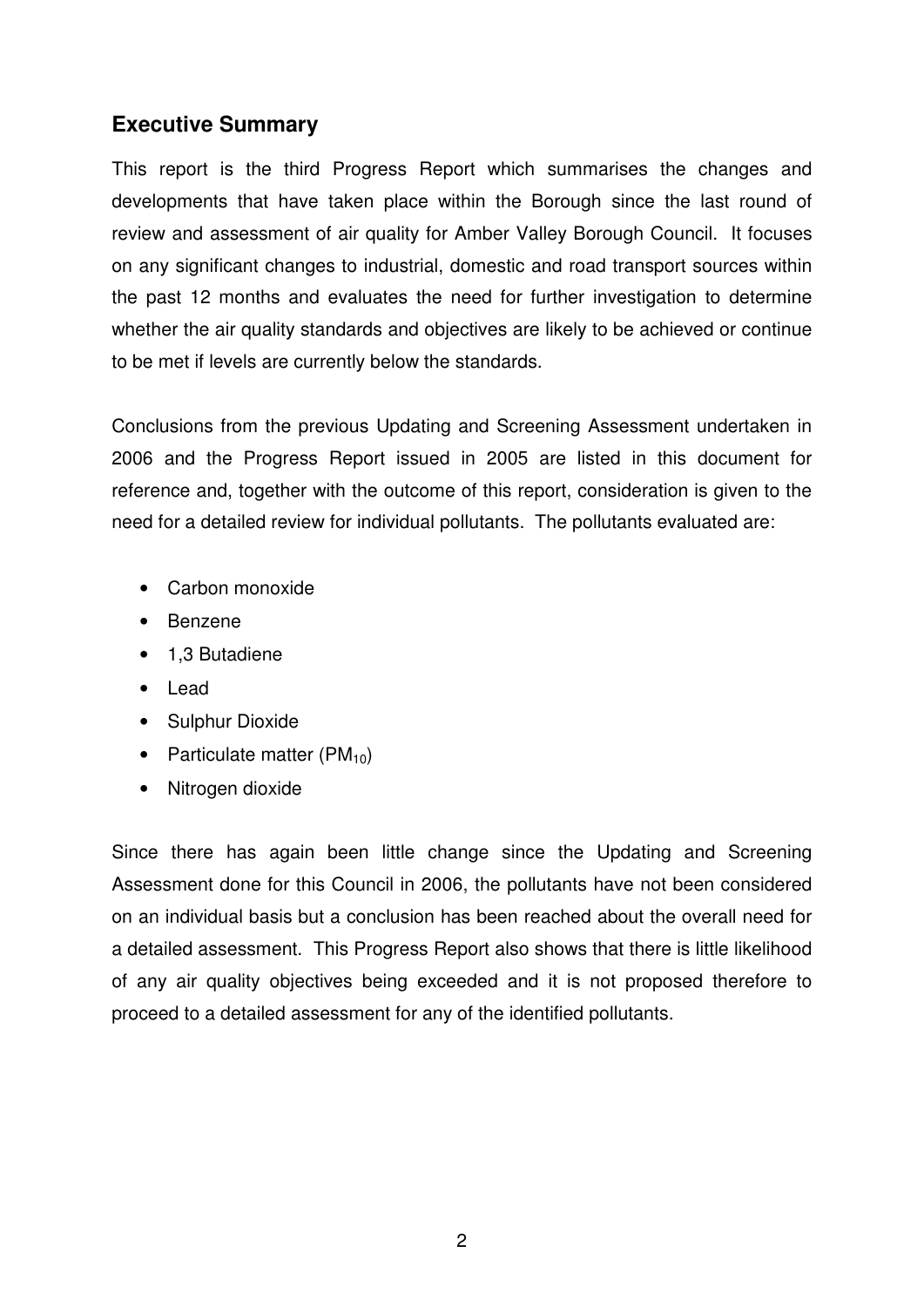# **Executive Summary**

This report is the third Progress Report which summarises the changes and developments that have taken place within the Borough since the last round of review and assessment of air quality for Amber Valley Borough Council. It focuses on any significant changes to industrial, domestic and road transport sources within the past 12 months and evaluates the need for further investigation to determine whether the air quality standards and objectives are likely to be achieved or continue to be met if levels are currently below the standards.

Conclusions from the previous Updating and Screening Assessment undertaken in 2006 and the Progress Report issued in 2005 are listed in this document for reference and, together with the outcome of this report, consideration is given to the need for a detailed review for individual pollutants. The pollutants evaluated are:

- Carbon monoxide
- Benzene
- 1,3 Butadiene
- Lead
- Sulphur Dioxide
- Particulate matter  $(PM_{10})$
- Nitrogen dioxide

Since there has again been little change since the Updating and Screening Assessment done for this Council in 2006, the pollutants have not been considered on an individual basis but a conclusion has been reached about the overall need for a detailed assessment. This Progress Report also shows that there is little likelihood of any air quality objectives being exceeded and it is not proposed therefore to proceed to a detailed assessment for any of the identified pollutants.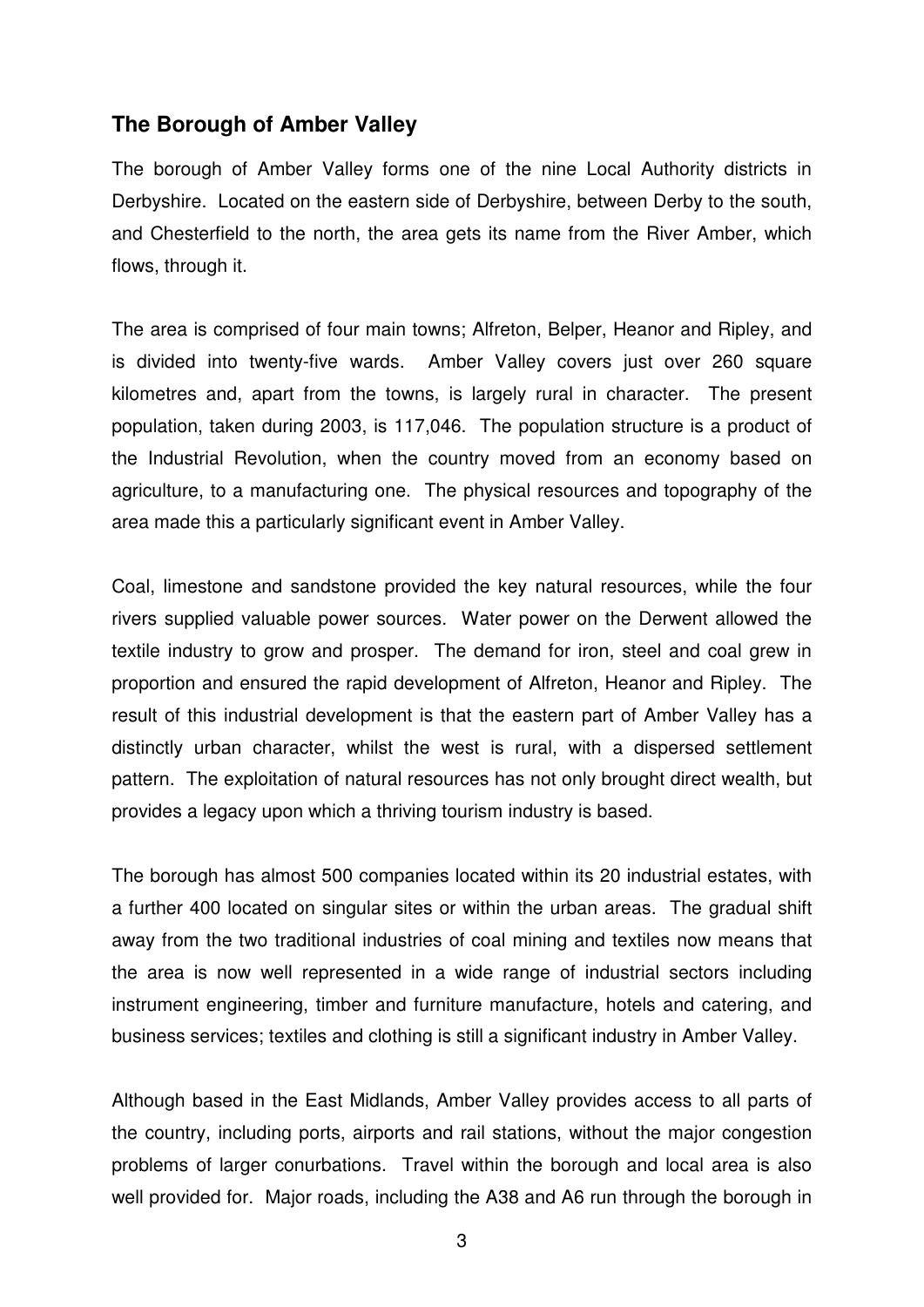#### **The Borough of Amber Valley**

The borough of Amber Valley forms one of the nine Local Authority districts in Derbyshire. Located on the eastern side of Derbyshire, between Derby to the south, and Chesterfield to the north, the area gets its name from the River Amber, which flows, through it.

The area is comprised of four main towns; Alfreton, Belper, Heanor and Ripley, and is divided into twenty-five wards. Amber Valley covers just over 260 square kilometres and, apart from the towns, is largely rural in character. The present population, taken during 2003, is 117,046. The population structure is a product of the Industrial Revolution, when the country moved from an economy based on agriculture, to a manufacturing one. The physical resources and topography of the area made this a particularly significant event in Amber Valley.

Coal, limestone and sandstone provided the key natural resources, while the four rivers supplied valuable power sources. Water power on the Derwent allowed the textile industry to grow and prosper. The demand for iron, steel and coal grew in proportion and ensured the rapid development of Alfreton, Heanor and Ripley. The result of this industrial development is that the eastern part of Amber Valley has a distinctly urban character, whilst the west is rural, with a dispersed settlement pattern. The exploitation of natural resources has not only brought direct wealth, but provides a legacy upon which a thriving tourism industry is based.

The borough has almost 500 companies located within its 20 industrial estates, with a further 400 located on singular sites or within the urban areas. The gradual shift away from the two traditional industries of coal mining and textiles now means that the area is now well represented in a wide range of industrial sectors including instrument engineering, timber and furniture manufacture, hotels and catering, and business services; textiles and clothing is still a significant industry in Amber Valley.

Although based in the East Midlands, Amber Valley provides access to all parts of the country, including ports, airports and rail stations, without the major congestion problems of larger conurbations. Travel within the borough and local area is also well provided for. Major roads, including the A38 and A6 run through the borough in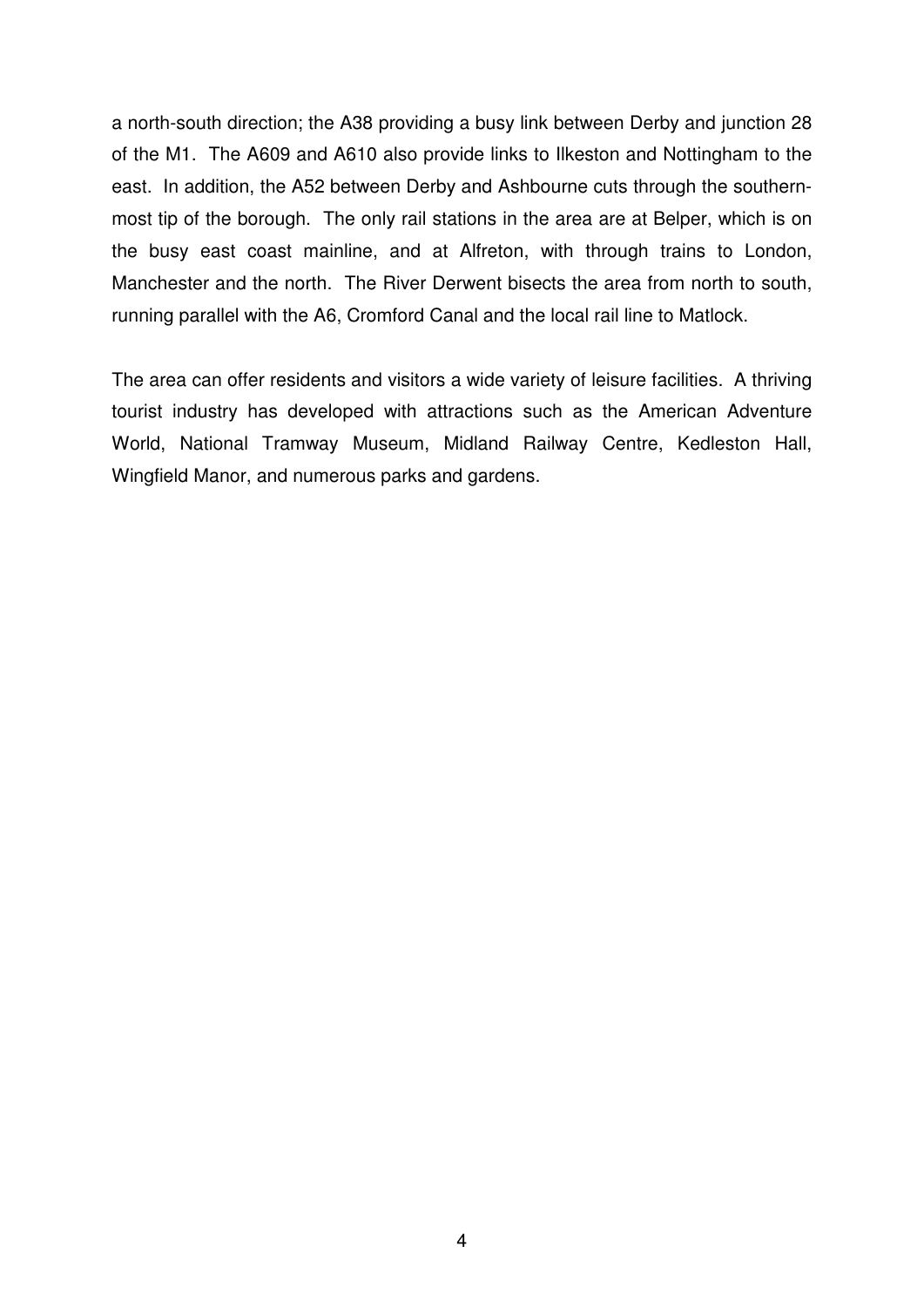a north-south direction; the A38 providing a busy link between Derby and junction 28 of the M1. The A609 and A610 also provide links to Ilkeston and Nottingham to the east. In addition, the A52 between Derby and Ashbourne cuts through the southernmost tip of the borough. The only rail stations in the area are at Belper, which is on the busy east coast mainline, and at Alfreton, with through trains to London, Manchester and the north. The River Derwent bisects the area from north to south, running parallel with the A6, Cromford Canal and the local rail line to Matlock.

The area can offer residents and visitors a wide variety of leisure facilities. A thriving tourist industry has developed with attractions such as the American Adventure World, National Tramway Museum, Midland Railway Centre, Kedleston Hall, Wingfield Manor, and numerous parks and gardens.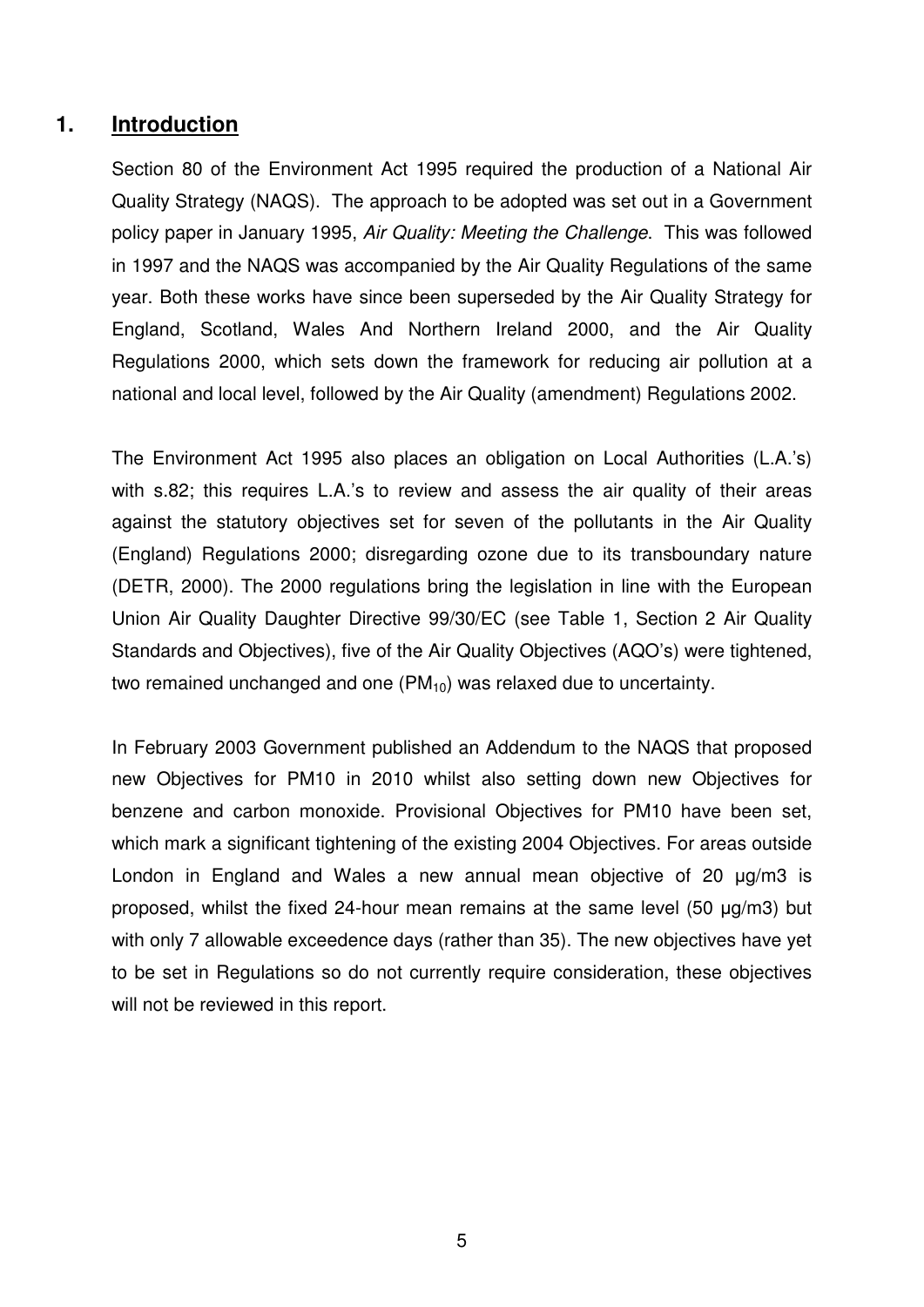#### **1. Introduction**

Section 80 of the Environment Act 1995 required the production of a National Air Quality Strategy (NAQS). The approach to be adopted was set out in a Government policy paper in January 1995, Air Quality: Meeting the Challenge. This was followed in 1997 and the NAQS was accompanied by the Air Quality Regulations of the same year. Both these works have since been superseded by the Air Quality Strategy for England, Scotland, Wales And Northern Ireland 2000, and the Air Quality Regulations 2000, which sets down the framework for reducing air pollution at a national and local level, followed by the Air Quality (amendment) Regulations 2002.

The Environment Act 1995 also places an obligation on Local Authorities (L.A.'s) with s.82; this requires L.A.'s to review and assess the air quality of their areas against the statutory objectives set for seven of the pollutants in the Air Quality (England) Regulations 2000; disregarding ozone due to its transboundary nature (DETR, 2000). The 2000 regulations bring the legislation in line with the European Union Air Quality Daughter Directive 99/30/EC (see Table 1, Section 2 Air Quality Standards and Objectives), five of the Air Quality Objectives (AQO's) were tightened, two remained unchanged and one  $(PM_{10})$  was relaxed due to uncertainty.

In February 2003 Government published an Addendum to the NAQS that proposed new Objectives for PM10 in 2010 whilst also setting down new Objectives for benzene and carbon monoxide. Provisional Objectives for PM10 have been set, which mark a significant tightening of the existing 2004 Objectives. For areas outside London in England and Wales a new annual mean objective of 20 µg/m3 is proposed, whilst the fixed 24-hour mean remains at the same level (50 µg/m3) but with only 7 allowable exceedence days (rather than 35). The new objectives have yet to be set in Regulations so do not currently require consideration, these objectives will not be reviewed in this report.

5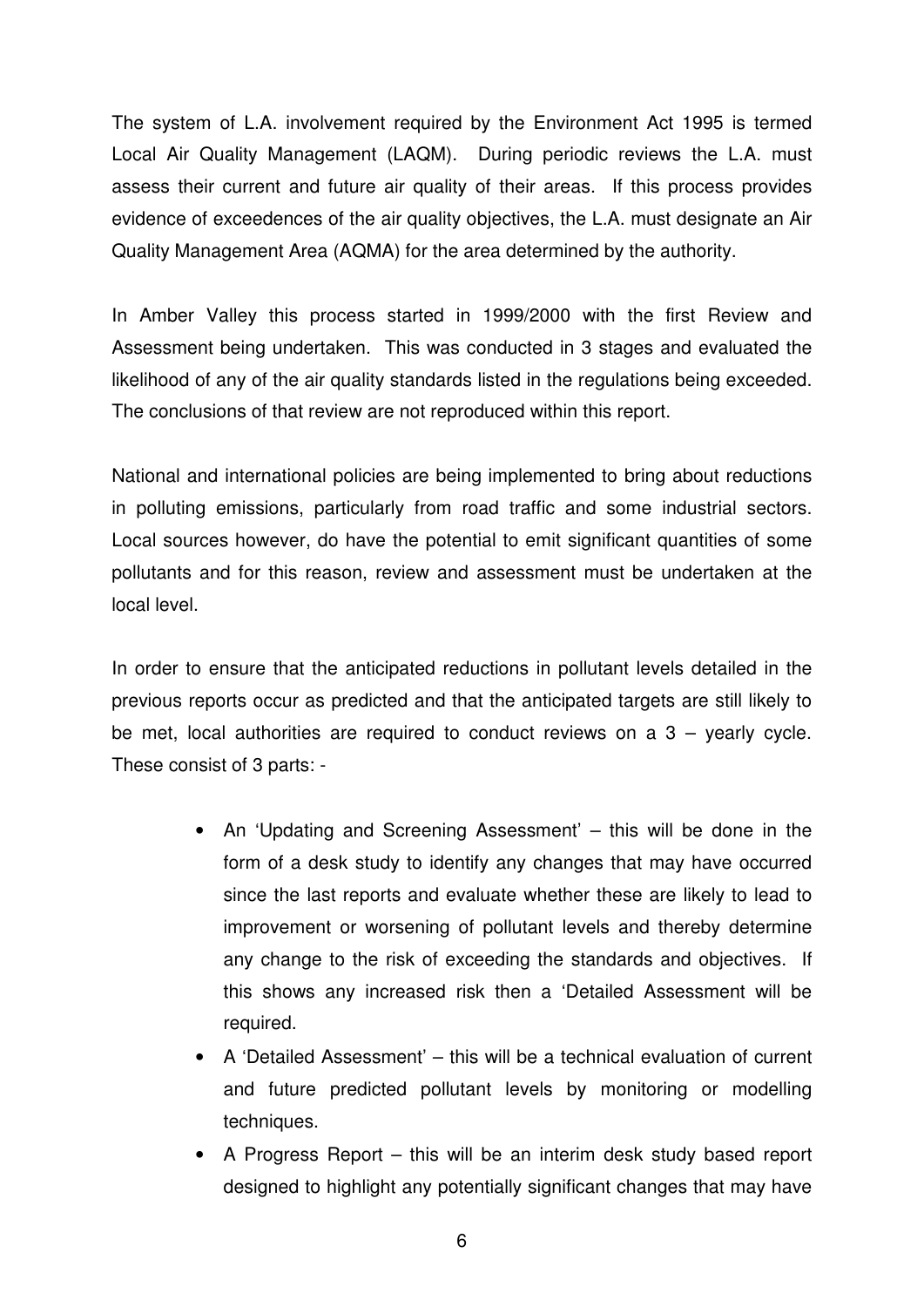The system of L.A. involvement required by the Environment Act 1995 is termed Local Air Quality Management (LAQM). During periodic reviews the L.A. must assess their current and future air quality of their areas. If this process provides evidence of exceedences of the air quality objectives, the L.A. must designate an Air Quality Management Area (AQMA) for the area determined by the authority.

In Amber Valley this process started in 1999/2000 with the first Review and Assessment being undertaken. This was conducted in 3 stages and evaluated the likelihood of any of the air quality standards listed in the regulations being exceeded. The conclusions of that review are not reproduced within this report.

National and international policies are being implemented to bring about reductions in polluting emissions, particularly from road traffic and some industrial sectors. Local sources however, do have the potential to emit significant quantities of some pollutants and for this reason, review and assessment must be undertaken at the local level.

In order to ensure that the anticipated reductions in pollutant levels detailed in the previous reports occur as predicted and that the anticipated targets are still likely to be met, local authorities are required to conduct reviews on a  $3 -$  yearly cycle. These consist of 3 parts: -

- An 'Updating and Screening Assessment' this will be done in the form of a desk study to identify any changes that may have occurred since the last reports and evaluate whether these are likely to lead to improvement or worsening of pollutant levels and thereby determine any change to the risk of exceeding the standards and objectives. If this shows any increased risk then a 'Detailed Assessment will be required.
- A 'Detailed Assessment' this will be a technical evaluation of current and future predicted pollutant levels by monitoring or modelling techniques.
- A Progress Report this will be an interim desk study based report designed to highlight any potentially significant changes that may have

6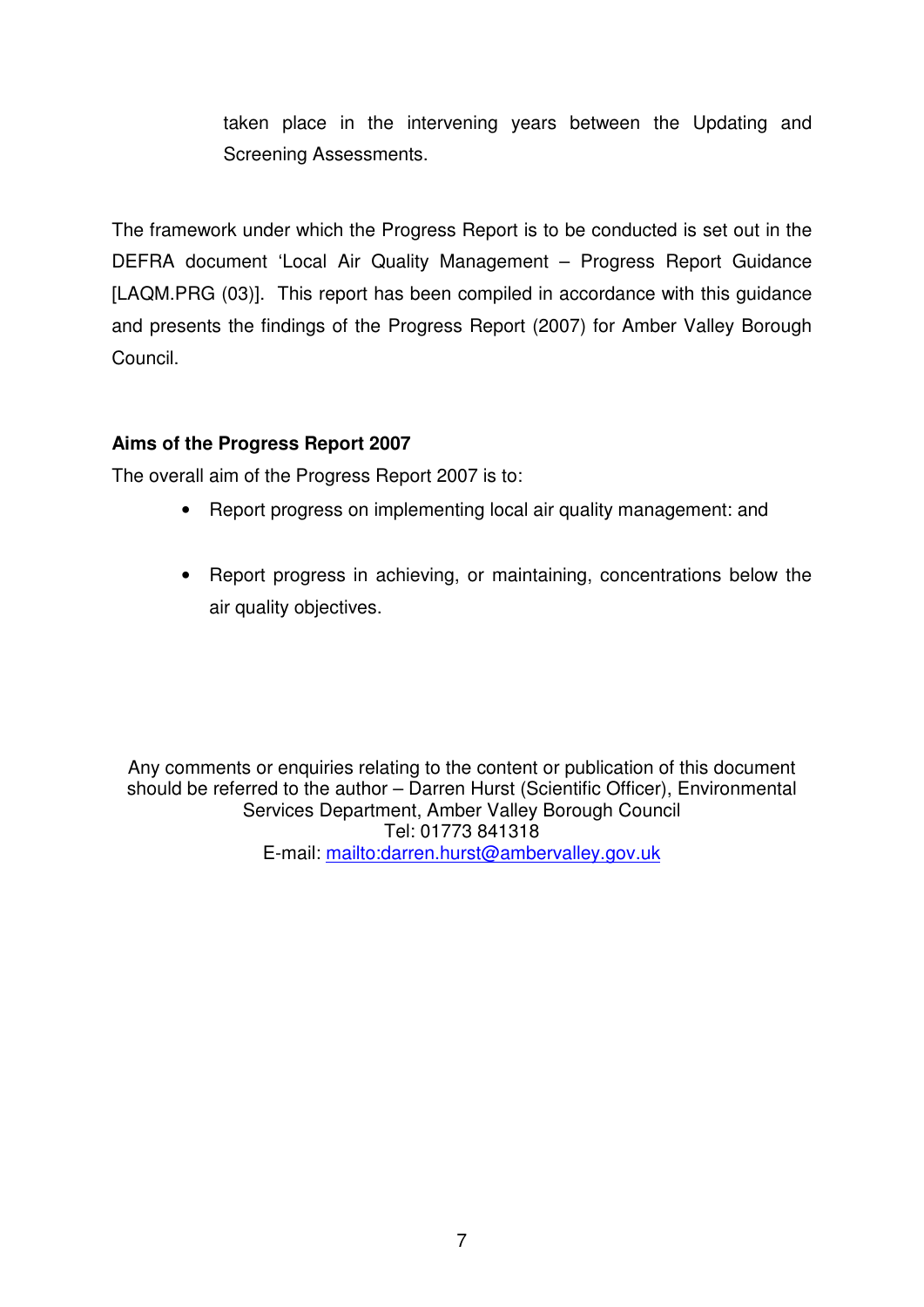taken place in the intervening years between the Updating and Screening Assessments.

The framework under which the Progress Report is to be conducted is set out in the DEFRA document 'Local Air Quality Management – Progress Report Guidance [LAQM.PRG (03)]. This report has been compiled in accordance with this guidance and presents the findings of the Progress Report (2007) for Amber Valley Borough Council.

# **Aims of the Progress Report 2007**

The overall aim of the Progress Report 2007 is to:

- Report progress on implementing local air quality management: and
- Report progress in achieving, or maintaining, concentrations below the air quality objectives.

Any comments or enquiries relating to the content or publication of this document should be referred to the author – Darren Hurst (Scientific Officer), Environmental Services Department, Amber Valley Borough Council Tel: 01773 841318 E-mail: mailto:darren.hurst@ambervalley.gov.uk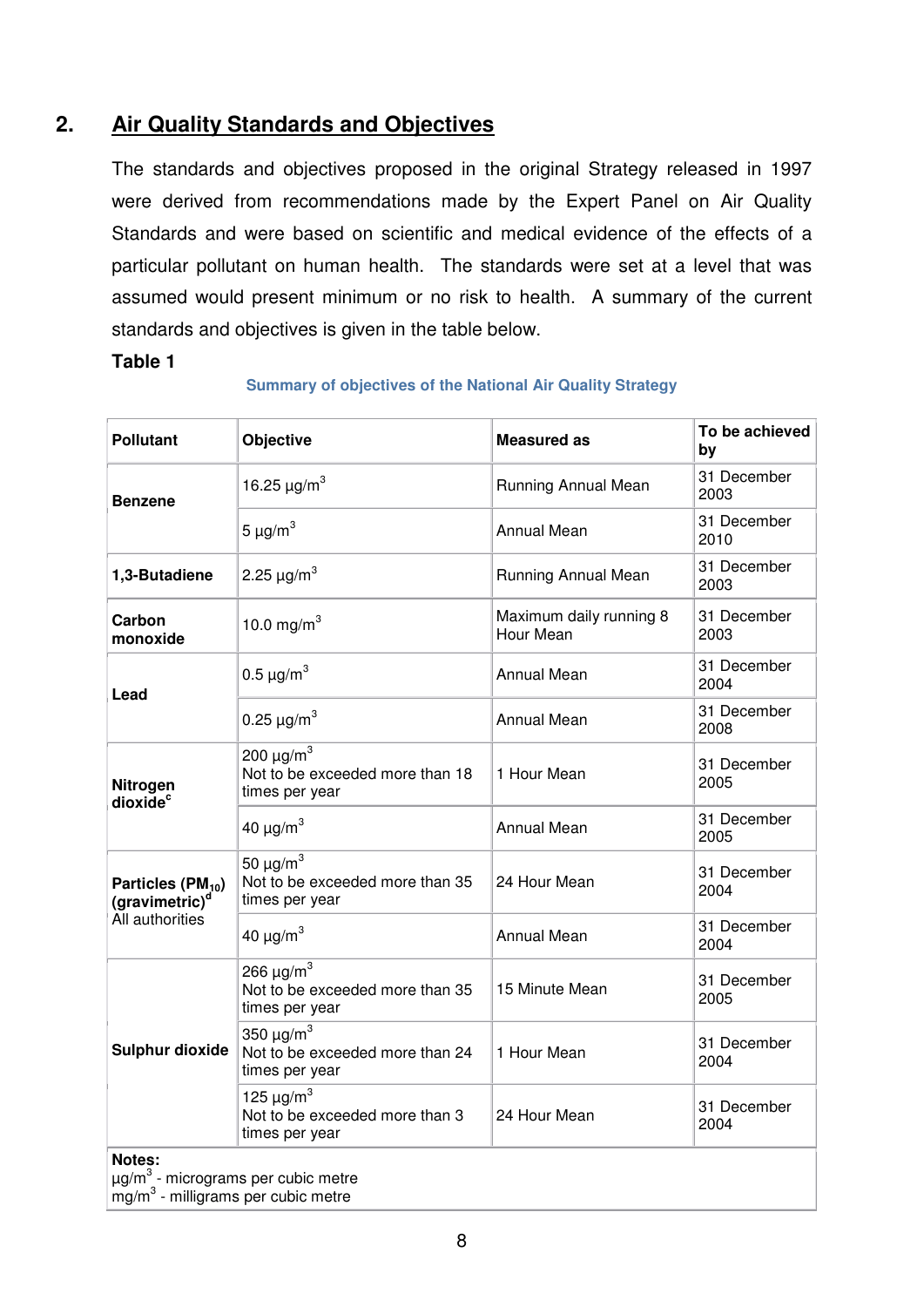# **2. Air Quality Standards and Objectives**

The standards and objectives proposed in the original Strategy released in 1997 were derived from recommendations made by the Expert Panel on Air Quality Standards and were based on scientific and medical evidence of the effects of a particular pollutant on human health. The standards were set at a level that was assumed would present minimum or no risk to health. A summary of the current standards and objectives is given in the table below.

#### **Table 1**

| <b>Pollutant</b>                                            | Objective                                                                       | <b>Measured as</b>                   | To be achieved<br>by |
|-------------------------------------------------------------|---------------------------------------------------------------------------------|--------------------------------------|----------------------|
| <b>Benzene</b>                                              | 16.25 $\mu$ g/m <sup>3</sup>                                                    | Running Annual Mean                  | 31 December<br>2003  |
|                                                             | $5 \mu g/m^3$                                                                   | <b>Annual Mean</b>                   | 31 December<br>2010  |
| 1,3-Butadiene                                               | 2.25 $\mu$ g/m <sup>3</sup>                                                     | Running Annual Mean                  | 31 December<br>2003  |
| Carbon<br>monoxide                                          | 10.0 mg/m <sup>3</sup>                                                          | Maximum daily running 8<br>Hour Mean | 31 December<br>2003  |
| Lead                                                        | 0.5 $\mu$ g/m <sup>3</sup>                                                      | <b>Annual Mean</b>                   | 31 December<br>2004  |
|                                                             | 0.25 $\mu$ g/m <sup>3</sup>                                                     | <b>Annual Mean</b>                   | 31 December<br>2008  |
| Nitrogen<br>dioxide <sup>c</sup>                            | 200 $\mu$ g/m <sup>3</sup><br>Not to be exceeded more than 18<br>times per year | 1 Hour Mean                          | 31 December<br>2005  |
|                                                             | 40 $\mu$ g/m <sup>3</sup>                                                       | <b>Annual Mean</b>                   | 31 December<br>2005  |
| Particles (PM <sub>10</sub> )<br>(gravimetric) <sup>d</sup> | 50 $\mu$ g/m <sup>3</sup><br>Not to be exceeded more than 35<br>times per year  | 24 Hour Mean                         | 31 December<br>2004  |
| All authorities                                             | 40 $\mu$ g/m <sup>3</sup>                                                       | <b>Annual Mean</b>                   | 31 December<br>2004  |
|                                                             | 266 $\mu$ g/m <sup>3</sup><br>Not to be exceeded more than 35<br>times per year | 15 Minute Mean                       | 31 December<br>2005  |
| <b>Sulphur dioxide</b>                                      | 350 $\mu$ g/m <sup>3</sup><br>Not to be exceeded more than 24<br>times per year | 1 Hour Mean                          | 31 December<br>2004  |
|                                                             | 125 $\mu$ g/m <sup>3</sup><br>Not to be exceeded more than 3<br>times per year  | 24 Hour Mean                         | 31 December<br>2004  |
| Notes:                                                      |                                                                                 |                                      |                      |

#### **Summary of objectives of the National Air Quality Strategy**

µg/m<sup>3</sup> - micrograms per cubic metre

mg/m<sup>3</sup> - milligrams per cubic metre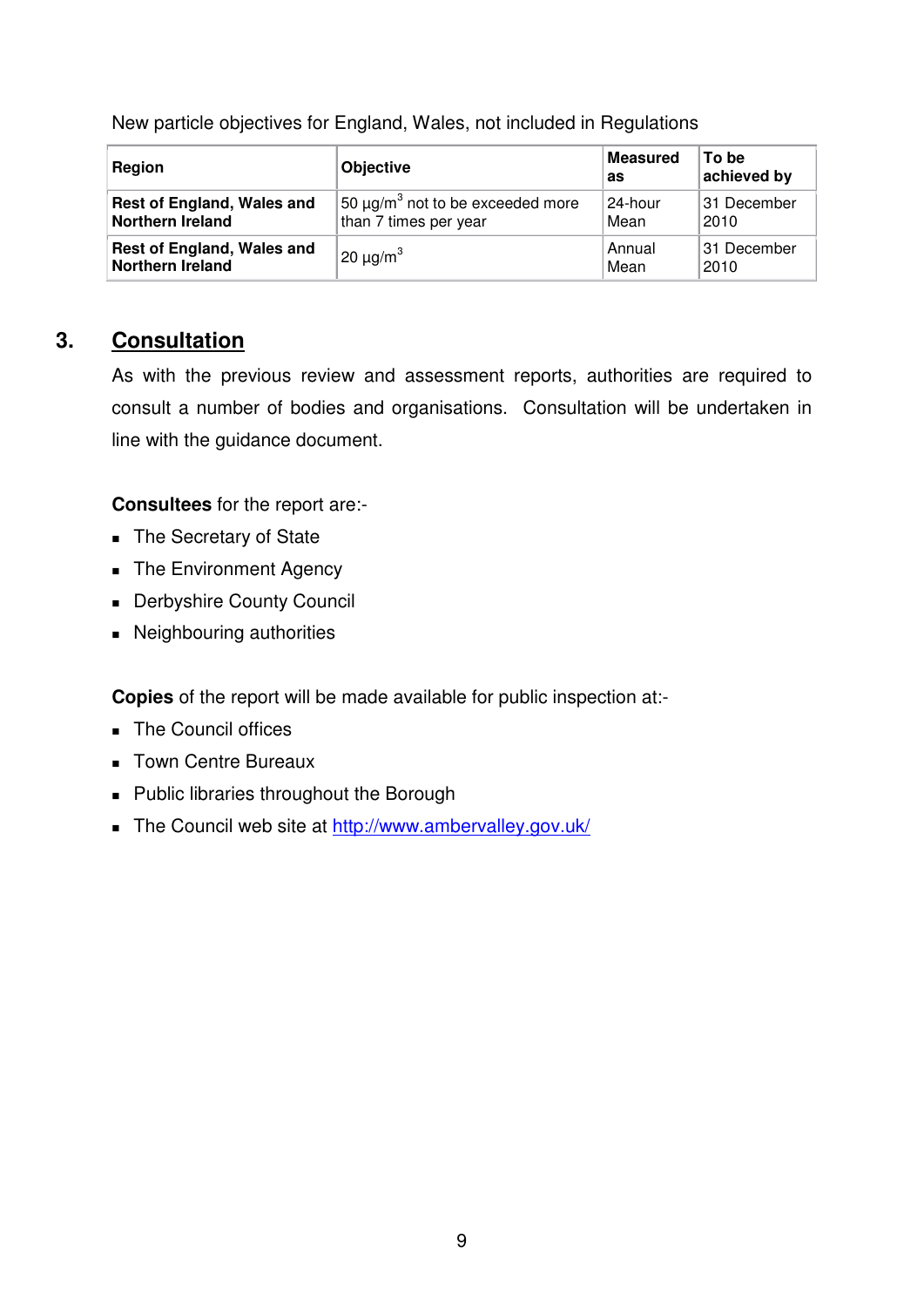|  |  |  | New particle objectives for England, Wales, not included in Regulations |
|--|--|--|-------------------------------------------------------------------------|

| Region                            | <b>Objective</b>                                   | <b>Measured</b><br>as | To be<br>achieved by |
|-----------------------------------|----------------------------------------------------|-----------------------|----------------------|
| <b>Rest of England, Wales and</b> | $\frac{1}{2}$ 50 µg/m $^3$ not to be exceeded more | 24-hour               | 31 December          |
| <b>Northern Ireland</b>           | than 7 times per year                              | Mean                  | 2010                 |
| Rest of England, Wales and        | $20 \mu g/m^3$                                     | Annual                | 31 December          |
| <b>Northern Ireland</b>           |                                                    | Mean                  | 2010                 |

# **3. Consultation**

As with the previous review and assessment reports, authorities are required to consult a number of bodies and organisations. Consultation will be undertaken in line with the guidance document.

**Consultees** for the report are:-

- The Secretary of State
- The Environment Agency
- **Derbyshire County Council**
- Neighbouring authorities

**Copies** of the report will be made available for public inspection at:-

- The Council offices
- **Town Centre Bureaux**
- **Public libraries throughout the Borough**
- The Council web site at http://www.ambervalley.gov.uk/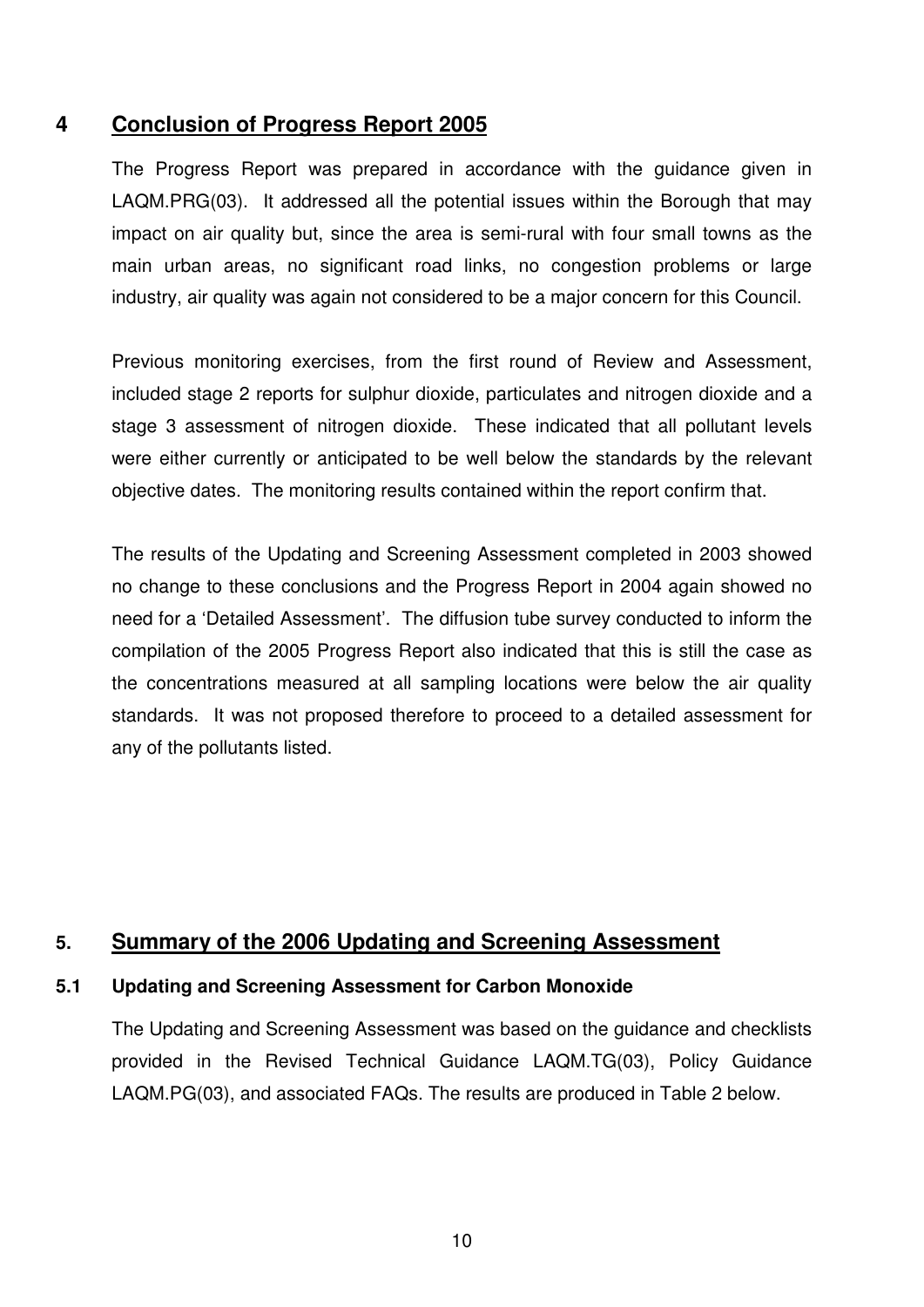# **4 Conclusion of Progress Report 2005**

The Progress Report was prepared in accordance with the guidance given in LAQM.PRG(03). It addressed all the potential issues within the Borough that may impact on air quality but, since the area is semi-rural with four small towns as the main urban areas, no significant road links, no congestion problems or large industry, air quality was again not considered to be a major concern for this Council.

Previous monitoring exercises, from the first round of Review and Assessment, included stage 2 reports for sulphur dioxide, particulates and nitrogen dioxide and a stage 3 assessment of nitrogen dioxide. These indicated that all pollutant levels were either currently or anticipated to be well below the standards by the relevant objective dates. The monitoring results contained within the report confirm that.

The results of the Updating and Screening Assessment completed in 2003 showed no change to these conclusions and the Progress Report in 2004 again showed no need for a 'Detailed Assessment'. The diffusion tube survey conducted to inform the compilation of the 2005 Progress Report also indicated that this is still the case as the concentrations measured at all sampling locations were below the air quality standards. It was not proposed therefore to proceed to a detailed assessment for any of the pollutants listed.

# **5. Summary of the 2006 Updating and Screening Assessment**

#### **5.1 Updating and Screening Assessment for Carbon Monoxide**

The Updating and Screening Assessment was based on the guidance and checklists provided in the Revised Technical Guidance LAQM.TG(03), Policy Guidance LAQM.PG(03), and associated FAQs. The results are produced in Table 2 below.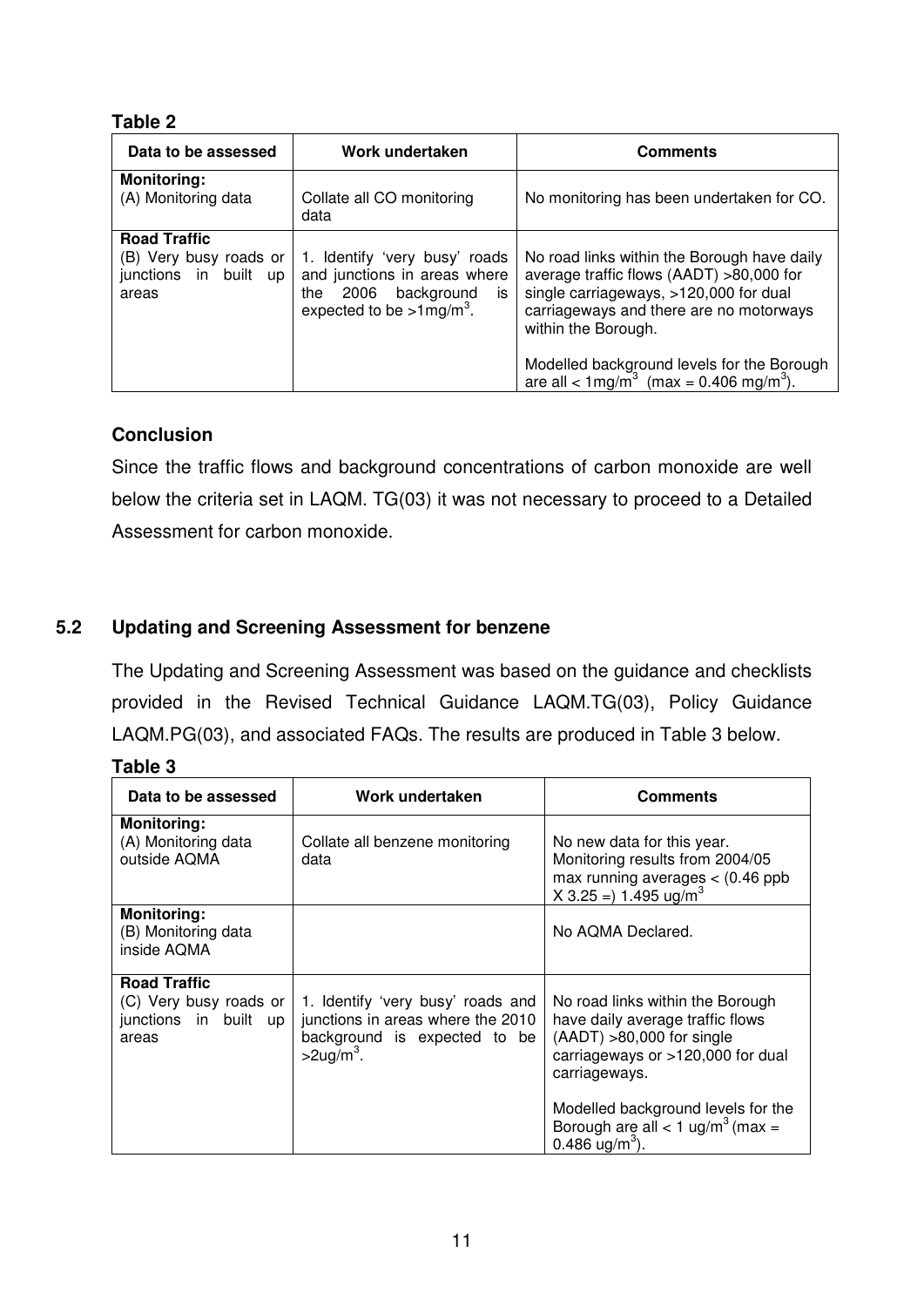#### **Table 2**

| Data to be assessed                                                             | Work undertaken                                                                                                                             | <b>Comments</b>                                                                                                                                                                                                                                                                                                    |
|---------------------------------------------------------------------------------|---------------------------------------------------------------------------------------------------------------------------------------------|--------------------------------------------------------------------------------------------------------------------------------------------------------------------------------------------------------------------------------------------------------------------------------------------------------------------|
| <b>Monitoring:</b><br>(A) Monitoring data                                       | Collate all CO monitoring<br>data                                                                                                           | No monitoring has been undertaken for CO.                                                                                                                                                                                                                                                                          |
| <b>Road Traffic</b><br>(B) Very busy roads or<br>junctions in built up<br>areas | 1. Identify 'very busy' roads<br>and junctions in areas where<br>background<br>2006<br>the<br>is<br>expected to be $>1$ mg/m <sup>3</sup> . | No road links within the Borough have daily<br>average traffic flows (AADT) >80,000 for<br>single carriageways, >120,000 for dual<br>carriageways and there are no motorways<br>within the Borough.<br>Modelled background levels for the Borough<br>are all < $1 \text{mg/m}^3$ (max = 0.406 mg/m <sup>3</sup> ). |

#### **Conclusion**

Since the traffic flows and background concentrations of carbon monoxide are well below the criteria set in LAQM. TG(03) it was not necessary to proceed to a Detailed Assessment for carbon monoxide.

#### **5.2 Updating and Screening Assessment for benzene**

The Updating and Screening Assessment was based on the guidance and checklists provided in the Revised Technical Guidance LAQM.TG(03), Policy Guidance LAQM.PG(03), and associated FAQs. The results are produced in Table 3 below.

#### **Table 3**

| Data to be assessed                                                             | Work undertaken                                                                                                                    | <b>Comments</b>                                                                                                                                                                                                                                                                |
|---------------------------------------------------------------------------------|------------------------------------------------------------------------------------------------------------------------------------|--------------------------------------------------------------------------------------------------------------------------------------------------------------------------------------------------------------------------------------------------------------------------------|
| <b>Monitoring:</b><br>(A) Monitoring data<br>outside AQMA                       | Collate all benzene monitoring<br>data                                                                                             | No new data for this year.<br>Monitoring results from 2004/05<br>max running averages $<$ (0.46 ppb<br>$X$ 3.25 = 1.495 ug/m <sup>3</sup>                                                                                                                                      |
| <b>Monitoring:</b><br>(B) Monitoring data<br>inside AQMA                        |                                                                                                                                    | No AQMA Declared.                                                                                                                                                                                                                                                              |
| <b>Road Traffic</b><br>(C) Very busy roads or<br>junctions in built up<br>areas | 1. Identify 'very busy' roads and<br>junctions in areas where the 2010<br>background is expected to be<br>$>$ 2ug/m <sup>3</sup> . | No road links within the Borough<br>have daily average traffic flows<br>$(AADT) > 80,000$ for single<br>carriageways or >120,000 for dual<br>carriageways.<br>Modelled background levels for the<br>Borough are all < 1 ug/m <sup>3</sup> (max =<br>0.486 ug/m <sup>3</sup> ). |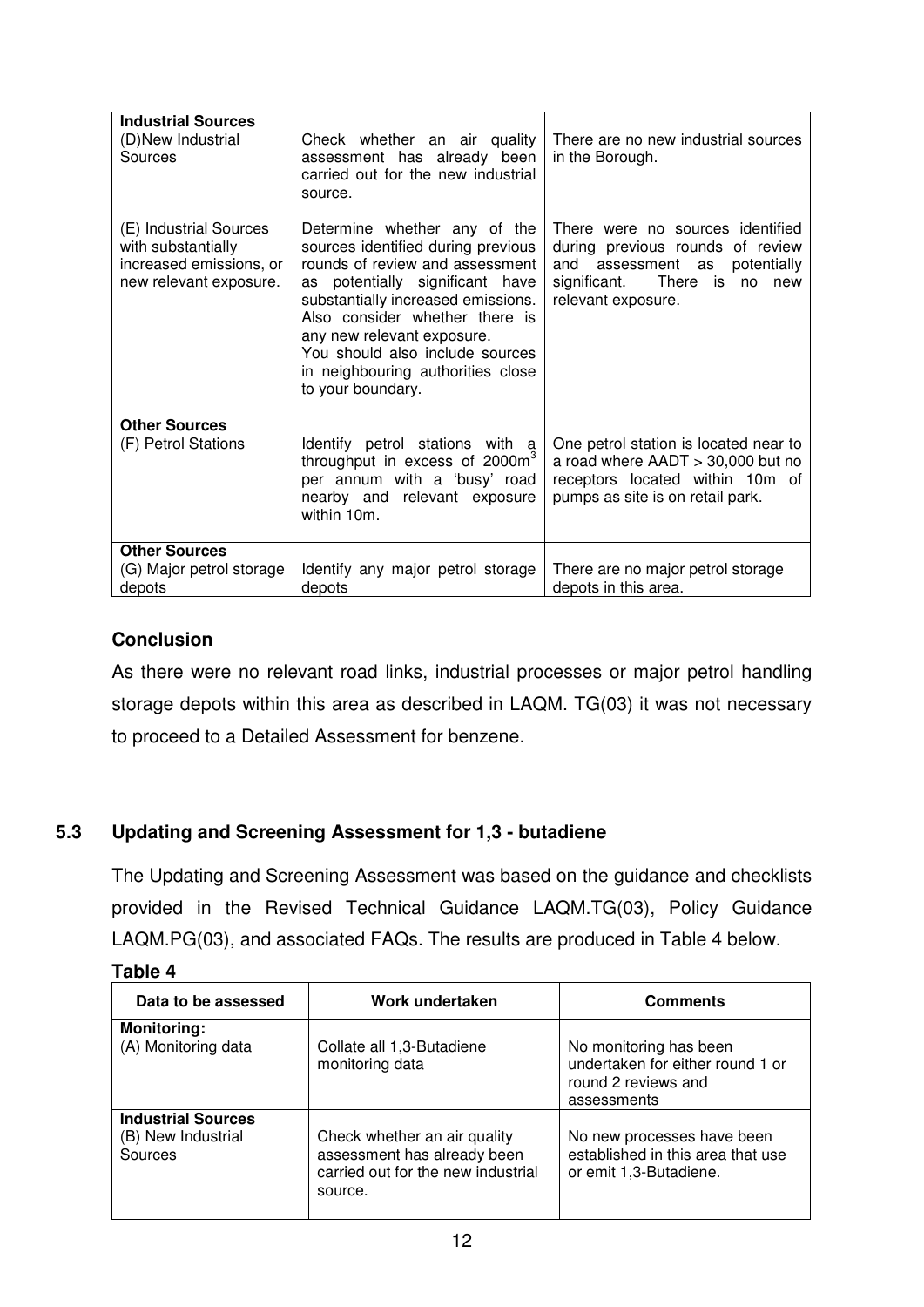| <b>Industrial Sources</b><br>(D)New Industrial<br>Sources                                         | Check whether an air quality<br>assessment has already been<br>carried out for the new industrial<br>source.                                                                                                                                                                                                                                | There are no new industrial sources<br>in the Borough.                                                                                                            |
|---------------------------------------------------------------------------------------------------|---------------------------------------------------------------------------------------------------------------------------------------------------------------------------------------------------------------------------------------------------------------------------------------------------------------------------------------------|-------------------------------------------------------------------------------------------------------------------------------------------------------------------|
| (E) Industrial Sources<br>with substantially<br>increased emissions, or<br>new relevant exposure. | Determine whether any of the<br>sources identified during previous<br>rounds of review and assessment<br>as potentially significant have<br>substantially increased emissions.<br>Also consider whether there is<br>any new relevant exposure.<br>You should also include sources<br>in neighbouring authorities close<br>to your boundary. | There were no sources identified<br>during previous rounds of review<br>and assessment as potentially<br>significant.<br>There is no<br>new<br>relevant exposure. |
| <b>Other Sources</b><br>(F) Petrol Stations                                                       | Identify petrol stations with a<br>throughput in excess of 2000m <sup>3</sup><br>per annum with a 'busy' road<br>nearby and relevant exposure<br>within 10m.                                                                                                                                                                                | One petrol station is located near to<br>a road where $AADT > 30,000$ but no<br>receptors located within 10m of<br>pumps as site is on retail park.               |
| <b>Other Sources</b><br>(G) Major petrol storage<br>depots                                        | Identify any major petrol storage<br>depots                                                                                                                                                                                                                                                                                                 | There are no major petrol storage<br>depots in this area.                                                                                                         |

As there were no relevant road links, industrial processes or major petrol handling storage depots within this area as described in LAQM. TG(03) it was not necessary to proceed to a Detailed Assessment for benzene.

# **5.3 Updating and Screening Assessment for 1,3 - butadiene**

The Updating and Screening Assessment was based on the guidance and checklists provided in the Revised Technical Guidance LAQM.TG(03), Policy Guidance LAQM.PG(03), and associated FAQs. The results are produced in Table 4 below.

| iable |  |  |  |  |
|-------|--|--|--|--|
|-------|--|--|--|--|

| Data to be assessed                                        | Work undertaken                                                                                              | <b>Comments</b>                                                                                  |
|------------------------------------------------------------|--------------------------------------------------------------------------------------------------------------|--------------------------------------------------------------------------------------------------|
| <b>Monitoring:</b><br>(A) Monitoring data                  | Collate all 1,3-Butadiene<br>monitoring data                                                                 | No monitoring has been<br>undertaken for either round 1 or<br>round 2 reviews and<br>assessments |
| <b>Industrial Sources</b><br>(B) New Industrial<br>Sources | Check whether an air quality<br>assessment has already been<br>carried out for the new industrial<br>source. | No new processes have been<br>established in this area that use<br>or emit 1,3-Butadiene.        |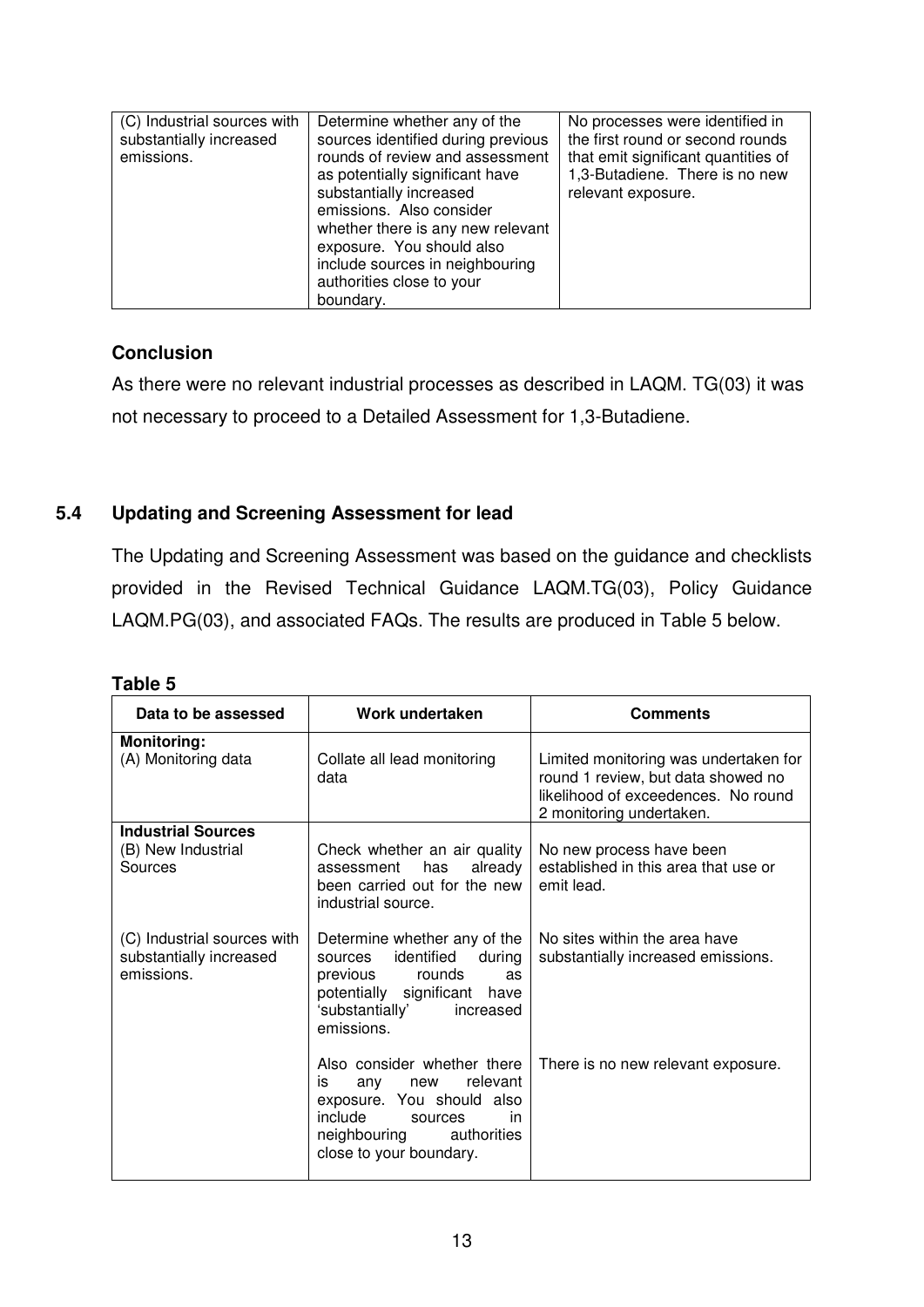| (C) Industrial sources with<br>substantially increased<br>emissions. | Determine whether any of the<br>sources identified during previous<br>rounds of review and assessment<br>as potentially significant have<br>substantially increased<br>emissions. Also consider<br>whether there is any new relevant<br>exposure. You should also<br>include sources in neighbouring<br>authorities close to your<br>boundary. | No processes were identified in<br>the first round or second rounds<br>that emit significant quantities of<br>1,3-Butadiene. There is no new<br>relevant exposure. |
|----------------------------------------------------------------------|------------------------------------------------------------------------------------------------------------------------------------------------------------------------------------------------------------------------------------------------------------------------------------------------------------------------------------------------|--------------------------------------------------------------------------------------------------------------------------------------------------------------------|

As there were no relevant industrial processes as described in LAQM. TG(03) it was not necessary to proceed to a Detailed Assessment for 1,3-Butadiene.

#### **5.4 Updating and Screening Assessment for lead**

The Updating and Screening Assessment was based on the guidance and checklists provided in the Revised Technical Guidance LAQM.TG(03), Policy Guidance LAQM.PG(03), and associated FAQs. The results are produced in Table 5 below.

| Data to be assessed                                                  | Work undertaken                                                                                                                                                             | <b>Comments</b>                                                                                                                                |
|----------------------------------------------------------------------|-----------------------------------------------------------------------------------------------------------------------------------------------------------------------------|------------------------------------------------------------------------------------------------------------------------------------------------|
| <b>Monitoring:</b><br>(A) Monitoring data                            | Collate all lead monitoring<br>data                                                                                                                                         | Limited monitoring was undertaken for<br>round 1 review, but data showed no<br>likelihood of exceedences. No round<br>2 monitoring undertaken. |
| <b>Industrial Sources</b><br>(B) New Industrial<br>Sources           | Check whether an air quality<br>already<br>has<br>assessment<br>been carried out for the new<br>industrial source.                                                          | No new process have been<br>established in this area that use or<br>emit lead.                                                                 |
| (C) Industrial sources with<br>substantially increased<br>emissions. | Determine whether any of the<br>identified during<br>sources<br>previous rounds<br>as<br>potentially significant have<br>'substantially'<br>increased<br>emissions.         | No sites within the area have<br>substantially increased emissions.                                                                            |
|                                                                      | Also consider whether there<br>relevant<br>is<br>any<br>new<br>exposure. You should also<br>include<br>sources<br>in<br>neighbouring authorities<br>close to your boundary. | There is no new relevant exposure.                                                                                                             |

#### **Table 5**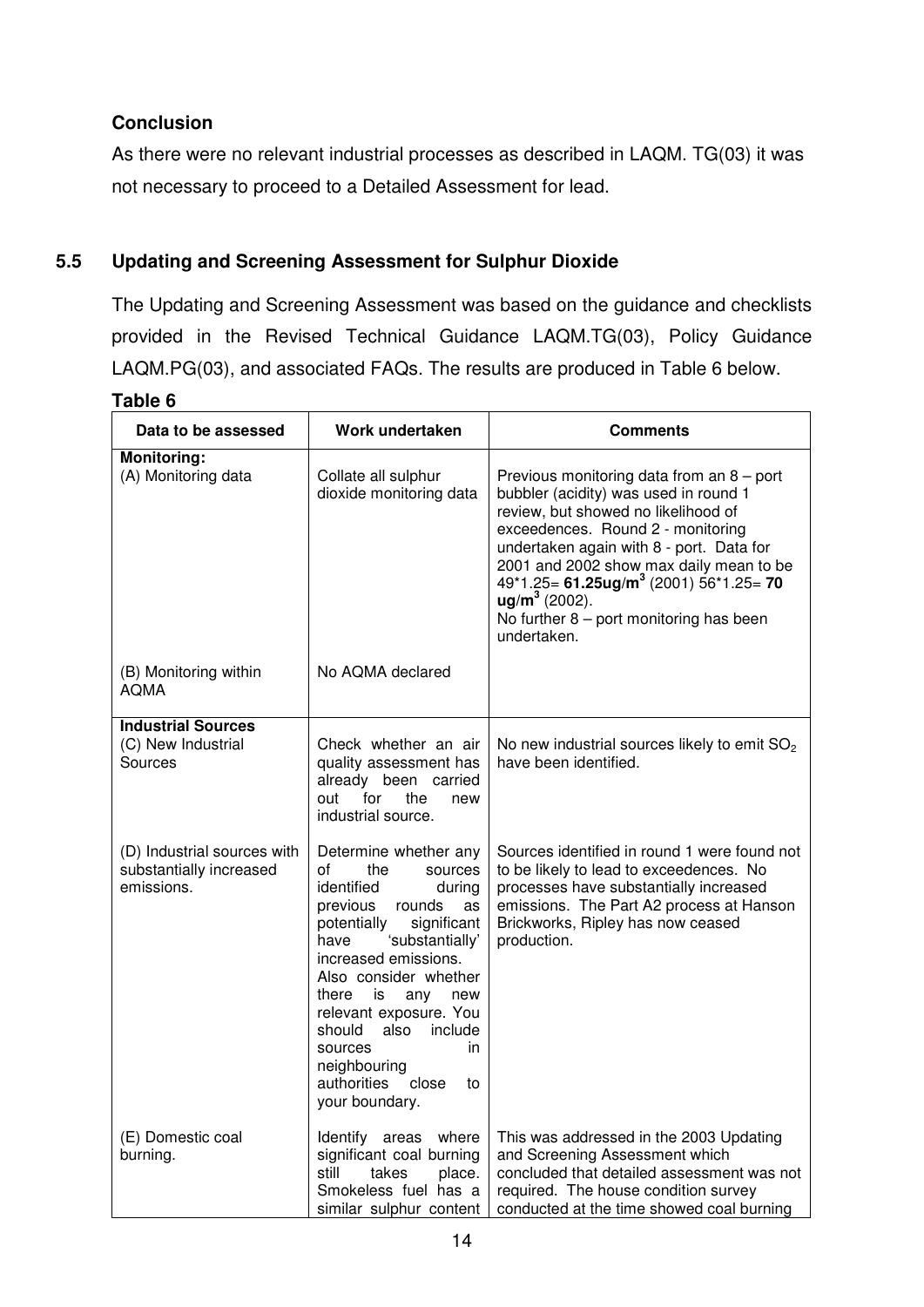As there were no relevant industrial processes as described in LAQM. TG(03) it was not necessary to proceed to a Detailed Assessment for lead.

#### **5.5 Updating and Screening Assessment for Sulphur Dioxide**

The Updating and Screening Assessment was based on the guidance and checklists provided in the Revised Technical Guidance LAQM.TG(03), Policy Guidance LAQM.PG(03), and associated FAQs. The results are produced in Table 6 below.

#### **Table 6**

| Data to be assessed                                                  | Work undertaken                                                                                                                                                                                                                                                                                                                                                                  | <b>Comments</b>                                                                                                                                                                                                                                                                                                                                                                                  |
|----------------------------------------------------------------------|----------------------------------------------------------------------------------------------------------------------------------------------------------------------------------------------------------------------------------------------------------------------------------------------------------------------------------------------------------------------------------|--------------------------------------------------------------------------------------------------------------------------------------------------------------------------------------------------------------------------------------------------------------------------------------------------------------------------------------------------------------------------------------------------|
| <b>Monitoring:</b><br>(A) Monitoring data                            | Collate all sulphur<br>dioxide monitoring data                                                                                                                                                                                                                                                                                                                                   | Previous monitoring data from an $8$ – port<br>bubbler (acidity) was used in round 1<br>review, but showed no likelihood of<br>exceedences. Round 2 - monitoring<br>undertaken again with 8 - port. Data for<br>2001 and 2002 show max daily mean to be<br>$49*1.25 = 61.25$ ug/m <sup>3</sup> (2001) 56*1.25= 70<br>$ug/m3$ (2002).<br>No further $8$ – port monitoring has been<br>undertaken. |
| (B) Monitoring within<br><b>AQMA</b>                                 | No AQMA declared                                                                                                                                                                                                                                                                                                                                                                 |                                                                                                                                                                                                                                                                                                                                                                                                  |
| <b>Industrial Sources</b><br>(C) New Industrial<br>Sources           | Check whether an air<br>quality assessment has<br>already been carried<br>for<br>the<br>out<br>new<br>industrial source.                                                                                                                                                                                                                                                         | No new industrial sources likely to emit SO <sub>2</sub><br>have been identified.                                                                                                                                                                                                                                                                                                                |
| (D) Industrial sources with<br>substantially increased<br>emissions. | Determine whether any<br>οf<br>the<br>sources<br>identified<br>during<br>previous<br>rounds<br>as<br>significant<br>potentially<br>'substantially'<br>have<br>increased emissions.<br>Also consider whether<br>there<br>is<br>any<br>new<br>relevant exposure. You<br>should<br>also<br>include<br>sources<br>in<br>neighbouring<br>authorities<br>close<br>to<br>your boundary. | Sources identified in round 1 were found not<br>to be likely to lead to exceedences. No<br>processes have substantially increased<br>emissions. The Part A2 process at Hanson<br>Brickworks, Ripley has now ceased<br>production.                                                                                                                                                                |
| (E) Domestic coal<br>burning.                                        | Identify areas where<br>significant coal burning<br>still<br>takes<br>place.<br>Smokeless fuel has a<br>similar sulphur content                                                                                                                                                                                                                                                  | This was addressed in the 2003 Updating<br>and Screening Assessment which<br>concluded that detailed assessment was not<br>required. The house condition survey<br>conducted at the time showed coal burning                                                                                                                                                                                     |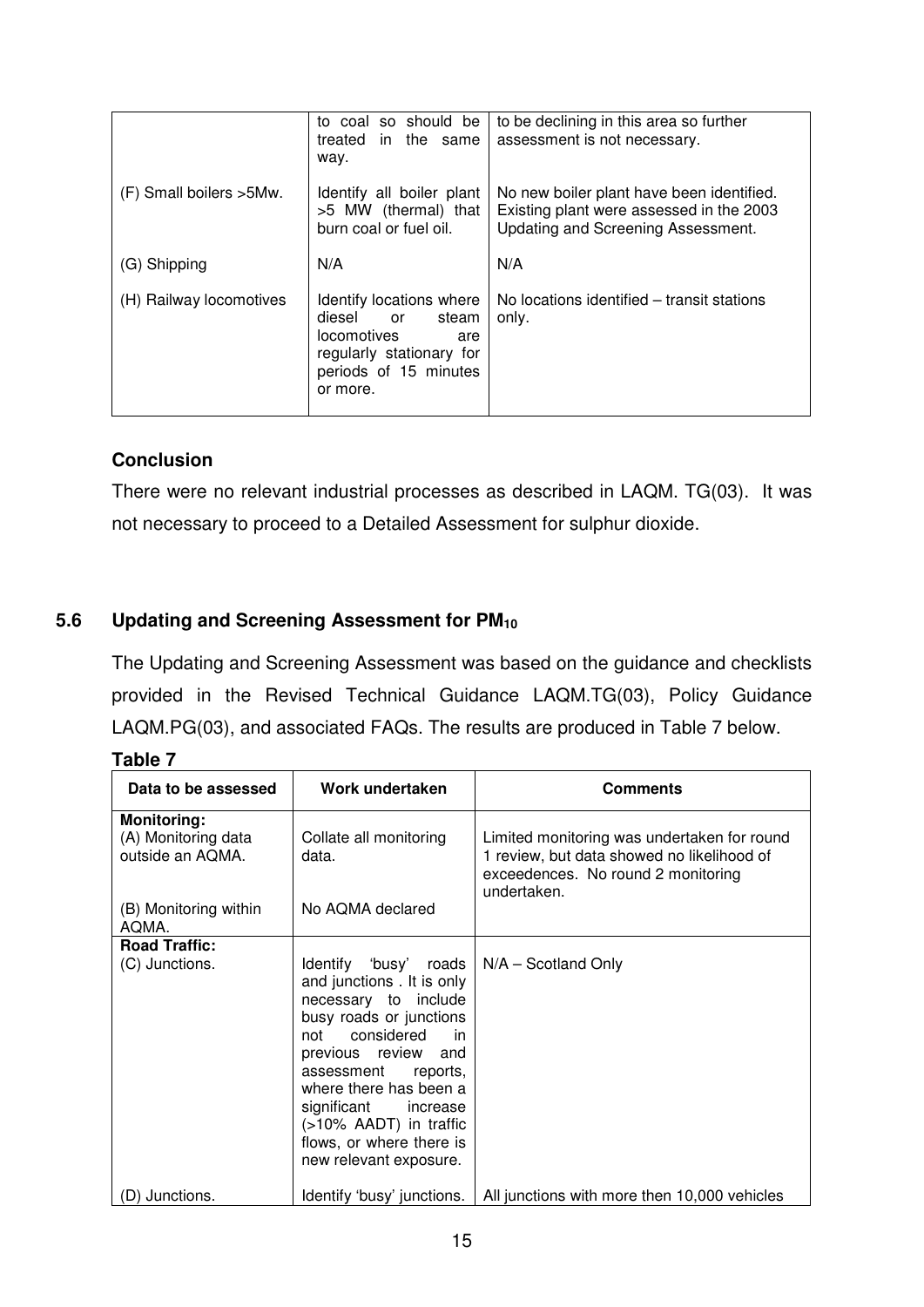|                          | to coal so should be<br>the<br>in.<br>treated<br>same<br>way.                                                                                   | to be declining in this area so further<br>assessment is not necessary.                                                     |
|--------------------------|-------------------------------------------------------------------------------------------------------------------------------------------------|-----------------------------------------------------------------------------------------------------------------------------|
| (F) Small boilers > 5Mw. | Identify all boiler plant<br>>5 MW (thermal) that<br>burn coal or fuel oil.                                                                     | No new boiler plant have been identified.<br>Existing plant were assessed in the 2003<br>Updating and Screening Assessment. |
| (G) Shipping             | N/A                                                                                                                                             | N/A                                                                                                                         |
| (H) Railway locomotives  | Identify locations where<br>diesel<br>steam<br>or<br><i>locomotives</i><br>are<br>regularly stationary for<br>periods of 15 minutes<br>or more. | No locations identified – transit stations<br>only.                                                                         |

There were no relevant industrial processes as described in LAQM. TG(03). It was not necessary to proceed to a Detailed Assessment for sulphur dioxide.

# **5.6 Updating and Screening Assessment for PM<sup>10</sup>**

The Updating and Screening Assessment was based on the guidance and checklists provided in the Revised Technical Guidance LAQM.TG(03), Policy Guidance LAQM.PG(03), and associated FAQs. The results are produced in Table 7 below.

| Data to be assessed                                           | Work undertaken                                                                                                                                                                                                                                                                                                                   | <b>Comments</b>                                                                                                                                |
|---------------------------------------------------------------|-----------------------------------------------------------------------------------------------------------------------------------------------------------------------------------------------------------------------------------------------------------------------------------------------------------------------------------|------------------------------------------------------------------------------------------------------------------------------------------------|
| <b>Monitoring:</b><br>(A) Monitoring data<br>outside an AQMA. | Collate all monitoring<br>data.                                                                                                                                                                                                                                                                                                   | Limited monitoring was undertaken for round<br>1 review, but data showed no likelihood of<br>exceedences. No round 2 monitoring<br>undertaken. |
| (B) Monitoring within<br>AQMA.                                | No AQMA declared                                                                                                                                                                                                                                                                                                                  |                                                                                                                                                |
| <b>Road Traffic:</b>                                          |                                                                                                                                                                                                                                                                                                                                   |                                                                                                                                                |
| (C) Junctions.                                                | Identify 'busy' roads<br>and junctions. It is only<br>necessary to include<br>busy roads or junctions<br>considered<br>not<br><sub>in</sub><br>previous review<br>and<br>assessment<br>reports,<br>where there has been a<br>significant increase<br>(>10% AADT) in traffic<br>flows, or where there is<br>new relevant exposure. | $N/A -$ Scotland Only                                                                                                                          |
| (D) Junctions.                                                | Identify 'busy' junctions.                                                                                                                                                                                                                                                                                                        | All junctions with more then 10,000 vehicles                                                                                                   |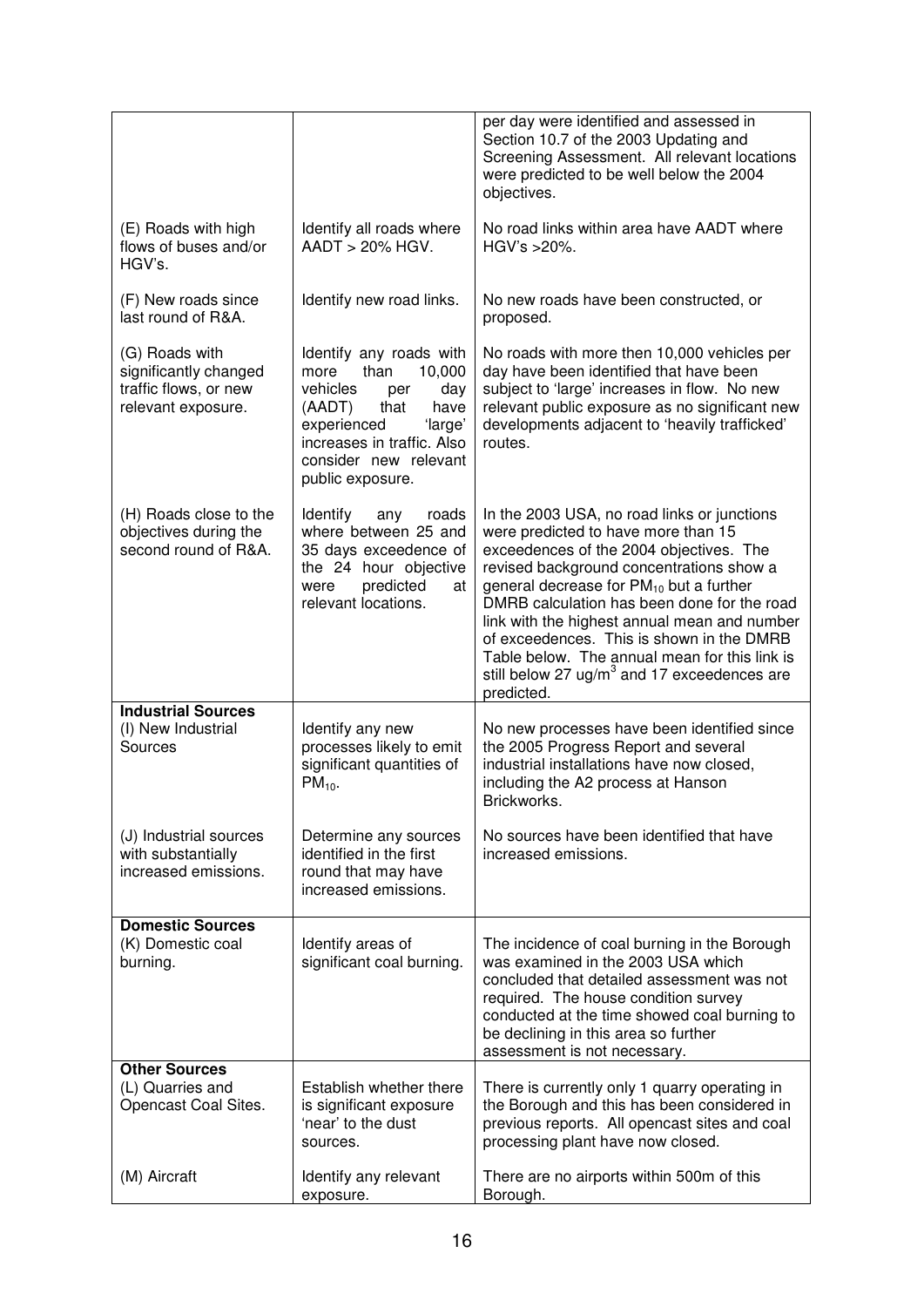|                                                                                        |                                                                                                                                                                                                            | per day were identified and assessed in<br>Section 10.7 of the 2003 Updating and<br>Screening Assessment. All relevant locations<br>were predicted to be well below the 2004<br>objectives.                                                                                                                                                                                                                                                                                                          |
|----------------------------------------------------------------------------------------|------------------------------------------------------------------------------------------------------------------------------------------------------------------------------------------------------------|------------------------------------------------------------------------------------------------------------------------------------------------------------------------------------------------------------------------------------------------------------------------------------------------------------------------------------------------------------------------------------------------------------------------------------------------------------------------------------------------------|
| (E) Roads with high<br>flows of buses and/or<br>HGV's.                                 | Identify all roads where<br>AADT > 20% HGV.                                                                                                                                                                | No road links within area have AADT where<br>$HGV's > 20\%$ .                                                                                                                                                                                                                                                                                                                                                                                                                                        |
| (F) New roads since<br>last round of R&A.                                              | Identify new road links.                                                                                                                                                                                   | No new roads have been constructed, or<br>proposed.                                                                                                                                                                                                                                                                                                                                                                                                                                                  |
| (G) Roads with<br>significantly changed<br>traffic flows, or new<br>relevant exposure. | Identify any roads with<br>than<br>10,000<br>more<br>vehicles<br>day<br>per<br>(AADT)<br>have<br>that<br>experienced<br>'large'<br>increases in traffic. Also<br>consider new relevant<br>public exposure. | No roads with more then 10,000 vehicles per<br>day have been identified that have been<br>subject to 'large' increases in flow. No new<br>relevant public exposure as no significant new<br>developments adjacent to 'heavily trafficked'<br>routes.                                                                                                                                                                                                                                                 |
| (H) Roads close to the<br>objectives during the<br>second round of R&A.                | Identify<br>any<br>roads<br>where between 25 and<br>35 days exceedence of<br>the 24 hour objective<br>predicted<br>at<br>were<br>relevant locations.                                                       | In the 2003 USA, no road links or junctions<br>were predicted to have more than 15<br>exceedences of the 2004 objectives. The<br>revised background concentrations show a<br>general decrease for $PM_{10}$ but a further<br>DMRB calculation has been done for the road<br>link with the highest annual mean and number<br>of exceedences. This is shown in the DMRB<br>Table below. The annual mean for this link is<br>still below 27 $\mu$ g/m <sup>3</sup> and 17 exceedences are<br>predicted. |
| <b>Industrial Sources</b>                                                              |                                                                                                                                                                                                            |                                                                                                                                                                                                                                                                                                                                                                                                                                                                                                      |
| (I) New Industrial<br>Sources                                                          | Identify any new<br>processes likely to emit<br>significant quantities of<br>$PM_{10}$ .                                                                                                                   | No new processes have been identified since<br>the 2005 Progress Report and several<br>industrial installations have now closed,<br>including the A2 process at Hanson<br>Brickworks.                                                                                                                                                                                                                                                                                                                |
| (J) Industrial sources<br>with substantially<br>increased emissions.                   | Determine any sources<br>identified in the first<br>round that may have<br>increased emissions.                                                                                                            | No sources have been identified that have<br>increased emissions.                                                                                                                                                                                                                                                                                                                                                                                                                                    |
| <b>Domestic Sources</b><br>(K) Domestic coal<br>burning.                               | Identify areas of<br>significant coal burning.                                                                                                                                                             | The incidence of coal burning in the Borough<br>was examined in the 2003 USA which<br>concluded that detailed assessment was not<br>required. The house condition survey<br>conducted at the time showed coal burning to<br>be declining in this area so further<br>assessment is not necessary.                                                                                                                                                                                                     |
| <b>Other Sources</b><br>(L) Quarries and<br>Opencast Coal Sites.                       | Establish whether there<br>is significant exposure<br>'near' to the dust<br>sources.                                                                                                                       | There is currently only 1 quarry operating in<br>the Borough and this has been considered in<br>previous reports. All opencast sites and coal<br>processing plant have now closed.                                                                                                                                                                                                                                                                                                                   |
| (M) Aircraft                                                                           | Identify any relevant<br>exposure.                                                                                                                                                                         | There are no airports within 500m of this<br>Borough.                                                                                                                                                                                                                                                                                                                                                                                                                                                |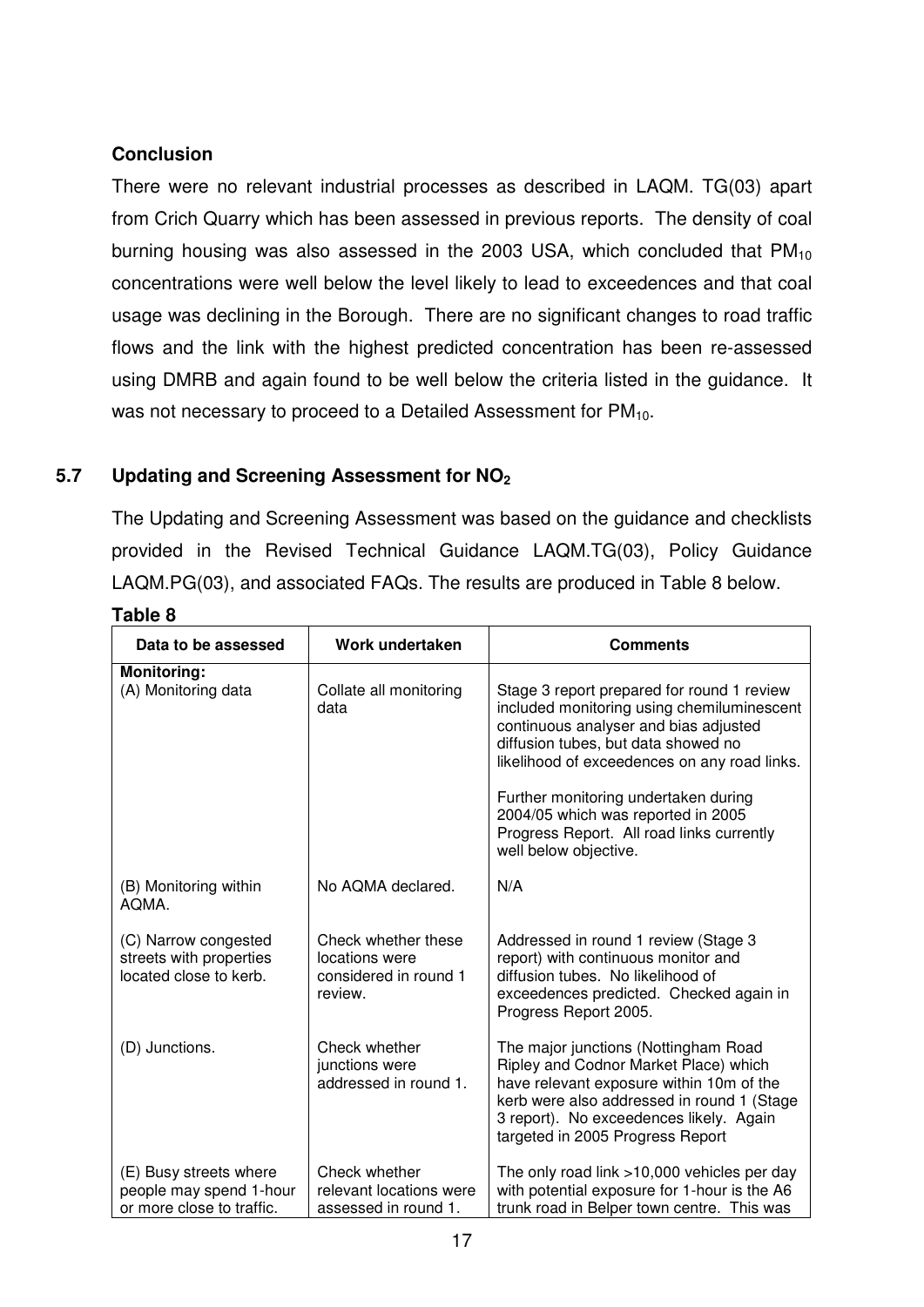There were no relevant industrial processes as described in LAQM. TG(03) apart from Crich Quarry which has been assessed in previous reports. The density of coal burning housing was also assessed in the 2003 USA, which concluded that  $PM_{10}$ concentrations were well below the level likely to lead to exceedences and that coal usage was declining in the Borough. There are no significant changes to road traffic flows and the link with the highest predicted concentration has been re-assessed using DMRB and again found to be well below the criteria listed in the guidance. It was not necessary to proceed to a Detailed Assessment for  $PM_{10}$ .

# **5.7 Updating and Screening Assessment for NO<sup>2</sup>**

The Updating and Screening Assessment was based on the guidance and checklists provided in the Revised Technical Guidance LAQM.TG(03), Policy Guidance LAQM.PG(03), and associated FAQs. The results are produced in Table 8 below.

| Data to be assessed                                                            | Work undertaken                                                           | <b>Comments</b>                                                                                                                                                                                                                                                                                                                                                              |
|--------------------------------------------------------------------------------|---------------------------------------------------------------------------|------------------------------------------------------------------------------------------------------------------------------------------------------------------------------------------------------------------------------------------------------------------------------------------------------------------------------------------------------------------------------|
| <b>Monitoring:</b><br>(A) Monitoring data                                      | Collate all monitoring<br>data                                            | Stage 3 report prepared for round 1 review<br>included monitoring using chemiluminescent<br>continuous analyser and bias adjusted<br>diffusion tubes, but data showed no<br>likelihood of exceedences on any road links.<br>Further monitoring undertaken during<br>2004/05 which was reported in 2005<br>Progress Report. All road links currently<br>well below objective. |
| (B) Monitoring within<br>AQMA.                                                 | No AQMA declared.                                                         | N/A                                                                                                                                                                                                                                                                                                                                                                          |
| (C) Narrow congested<br>streets with properties<br>located close to kerb.      | Check whether these<br>locations were<br>considered in round 1<br>review. | Addressed in round 1 review (Stage 3<br>report) with continuous monitor and<br>diffusion tubes. No likelihood of<br>exceedences predicted. Checked again in<br>Progress Report 2005.                                                                                                                                                                                         |
| (D) Junctions.                                                                 | Check whether<br>junctions were<br>addressed in round 1.                  | The major junctions (Nottingham Road<br>Ripley and Codnor Market Place) which<br>have relevant exposure within 10m of the<br>kerb were also addressed in round 1 (Stage<br>3 report). No exceedences likely. Again<br>targeted in 2005 Progress Report                                                                                                                       |
| (E) Busy streets where<br>people may spend 1-hour<br>or more close to traffic. | Check whether<br>relevant locations were<br>assessed in round 1.          | The only road link >10,000 vehicles per day<br>with potential exposure for 1-hour is the A6<br>trunk road in Belper town centre. This was                                                                                                                                                                                                                                    |

#### **Table 8**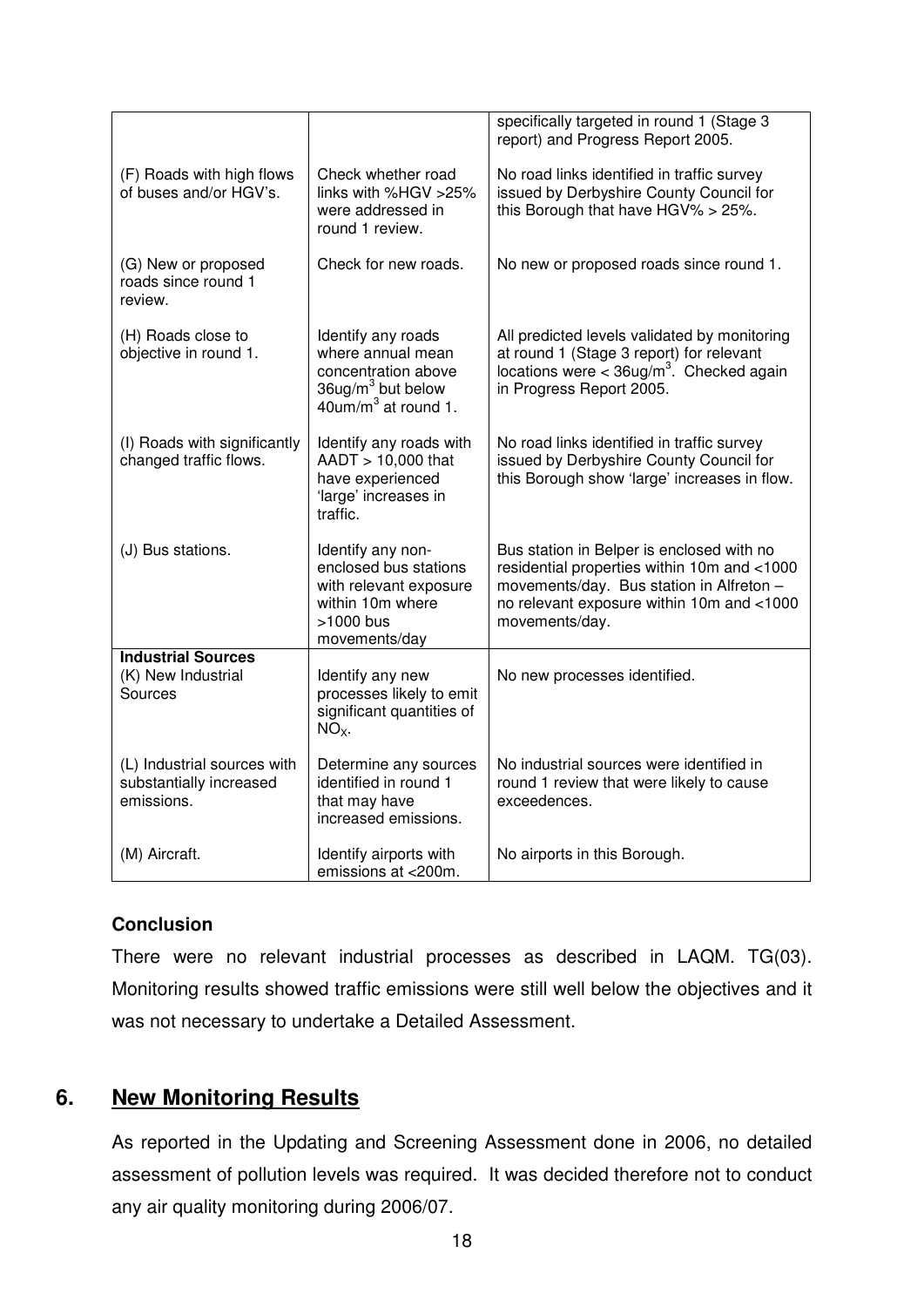|                                                                      |                                                                                                                                       | specifically targeted in round 1 (Stage 3<br>report) and Progress Report 2005.                                                                                                                      |
|----------------------------------------------------------------------|---------------------------------------------------------------------------------------------------------------------------------------|-----------------------------------------------------------------------------------------------------------------------------------------------------------------------------------------------------|
| (F) Roads with high flows<br>of buses and/or HGV's.                  | Check whether road<br>links with %HGV >25%<br>were addressed in<br>round 1 review.                                                    | No road links identified in traffic survey<br>issued by Derbyshire County Council for<br>this Borough that have HGV% > 25%.                                                                         |
| (G) New or proposed<br>roads since round 1<br>review.                | Check for new roads.                                                                                                                  | No new or proposed roads since round 1.                                                                                                                                                             |
| (H) Roads close to<br>objective in round 1.                          | Identify any roads<br>where annual mean<br>concentration above<br>$36$ ug/m <sup>3</sup> but below<br>40um/m <sup>3</sup> at round 1. | All predicted levels validated by monitoring<br>at round 1 (Stage 3 report) for relevant<br>locations were < $36\mu g/m^3$ . Checked again<br>in Progress Report 2005.                              |
| (I) Roads with significantly<br>changed traffic flows.               | Identify any roads with<br>AADT > 10,000 that<br>have experienced<br>'large' increases in<br>traffic.                                 | No road links identified in traffic survey<br>issued by Derbyshire County Council for<br>this Borough show 'large' increases in flow.                                                               |
| (J) Bus stations.                                                    | Identify any non-<br>enclosed bus stations<br>with relevant exposure<br>within 10m where<br>>1000 bus<br>movements/day                | Bus station in Belper is enclosed with no<br>residential properties within 10m and <1000<br>movements/day. Bus station in Alfreton -<br>no relevant exposure within 10m and <1000<br>movements/day. |
| <b>Industrial Sources</b>                                            |                                                                                                                                       |                                                                                                                                                                                                     |
| (K) New Industrial<br>Sources                                        | Identify any new<br>processes likely to emit<br>significant quantities of<br>$NOx$ .                                                  | No new processes identified.                                                                                                                                                                        |
| (L) Industrial sources with<br>substantially increased<br>emissions. | Determine any sources<br>identified in round 1<br>that may have<br>increased emissions.                                               | No industrial sources were identified in<br>round 1 review that were likely to cause<br>exceedences.                                                                                                |
| (M) Aircraft.                                                        | Identify airports with<br>emissions at <200m.                                                                                         | No airports in this Borough.                                                                                                                                                                        |

There were no relevant industrial processes as described in LAQM. TG(03). Monitoring results showed traffic emissions were still well below the objectives and it was not necessary to undertake a Detailed Assessment.

# **6. New Monitoring Results**

As reported in the Updating and Screening Assessment done in 2006, no detailed assessment of pollution levels was required. It was decided therefore not to conduct any air quality monitoring during 2006/07.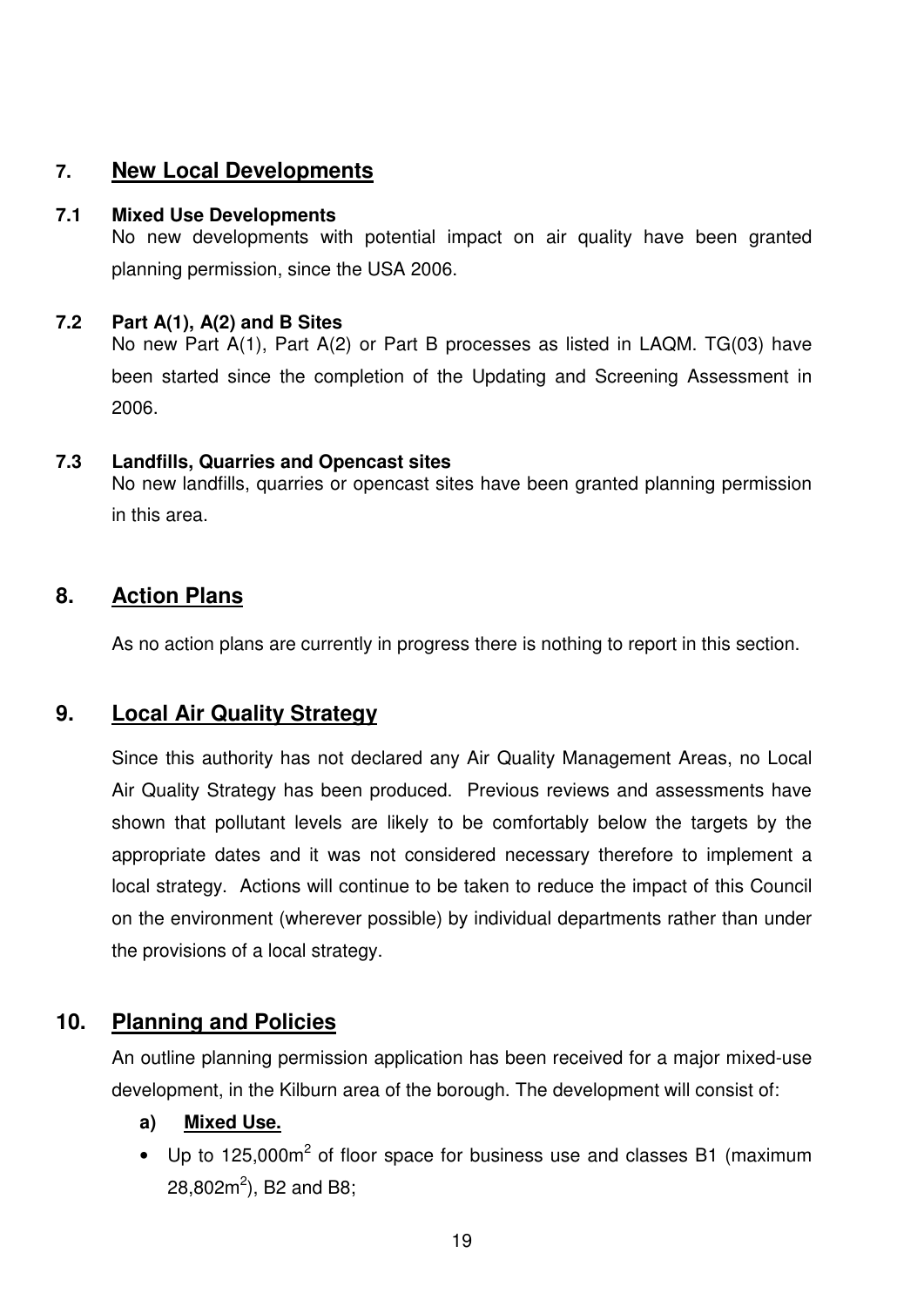# **7. New Local Developments**

#### **7.1 Mixed Use Developments**

No new developments with potential impact on air quality have been granted planning permission, since the USA 2006.

#### **7.2 Part A(1), A(2) and B Sites**

No new Part A(1), Part A(2) or Part B processes as listed in LAQM. TG(03) have been started since the completion of the Updating and Screening Assessment in 2006.

#### **7.3 Landfills, Quarries and Opencast sites**

No new landfills, quarries or opencast sites have been granted planning permission in this area.

# **8. Action Plans**

As no action plans are currently in progress there is nothing to report in this section.

# **9. Local Air Quality Strategy**

Since this authority has not declared any Air Quality Management Areas, no Local Air Quality Strategy has been produced. Previous reviews and assessments have shown that pollutant levels are likely to be comfortably below the targets by the appropriate dates and it was not considered necessary therefore to implement a local strategy. Actions will continue to be taken to reduce the impact of this Council on the environment (wherever possible) by individual departments rather than under the provisions of a local strategy.

# **10. Planning and Policies**

An outline planning permission application has been received for a major mixed-use development, in the Kilburn area of the borough. The development will consist of:

#### **a) Mixed Use.**

• Up to 125,000 $m^2$  of floor space for business use and classes B1 (maximum 28,802 $m^2$ ), B2 and B8;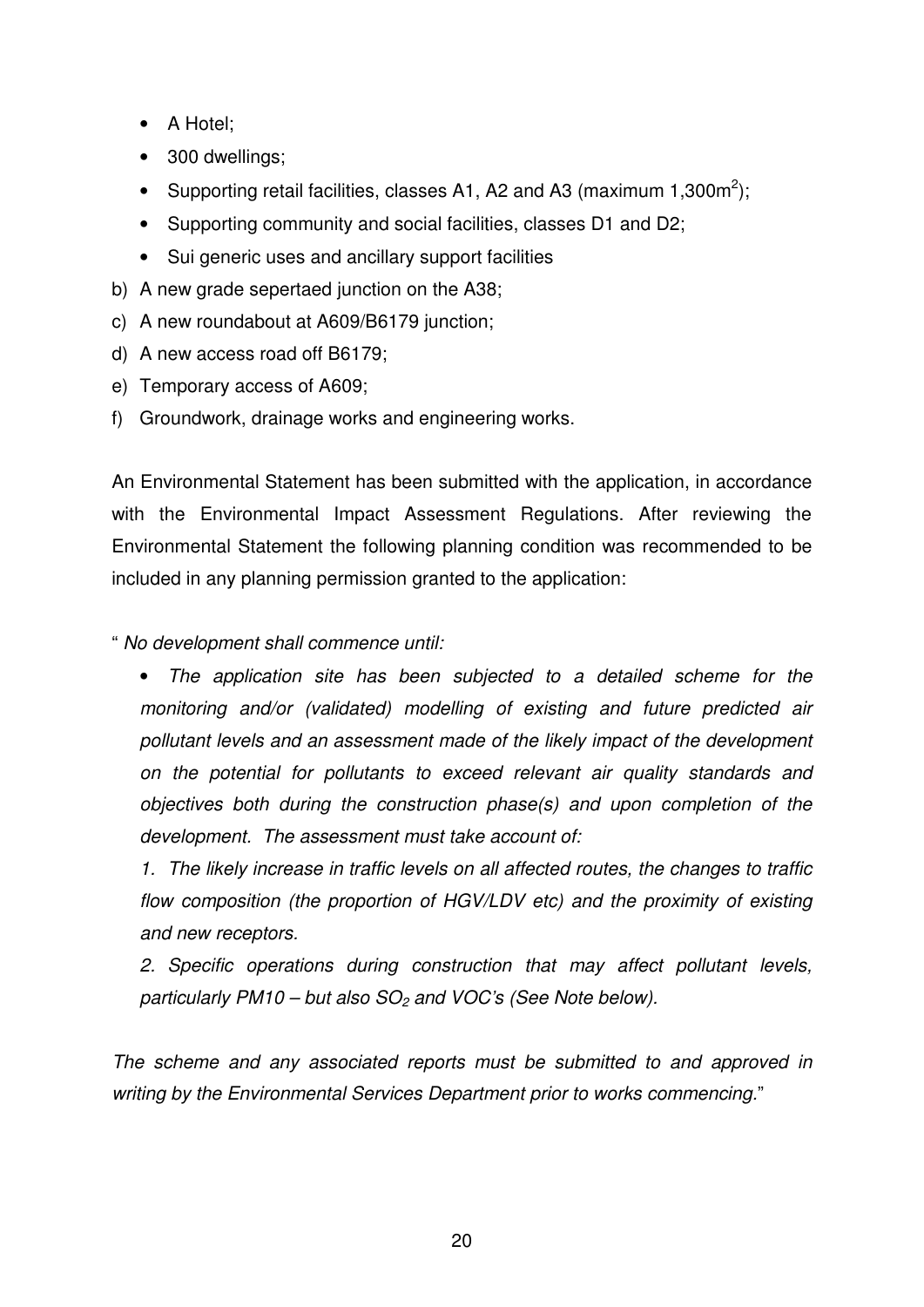- A Hotel;
- 300 dwellings;
- Supporting retail facilities, classes A1, A2 and A3 (maximum 1,300m<sup>2</sup>);
- Supporting community and social facilities, classes D1 and D2;
- Sui generic uses and ancillary support facilities
- b) A new grade sepertaed junction on the A38;
- c) A new roundabout at A609/B6179 junction;
- d) A new access road off B6179;
- e) Temporary access of A609;
- f) Groundwork, drainage works and engineering works.

An Environmental Statement has been submitted with the application, in accordance with the Environmental Impact Assessment Regulations. After reviewing the Environmental Statement the following planning condition was recommended to be included in any planning permission granted to the application:

" No development shall commence until:

• The application site has been subjected to a detailed scheme for the monitoring and/or (validated) modelling of existing and future predicted air pollutant levels and an assessment made of the likely impact of the development on the potential for pollutants to exceed relevant air quality standards and objectives both during the construction phase(s) and upon completion of the development. The assessment must take account of:

1. The likely increase in traffic levels on all affected routes, the changes to traffic flow composition (the proportion of HGV/LDV etc) and the proximity of existing and new receptors.

2. Specific operations during construction that may affect pollutant levels, particularly PM10 – but also  $SO<sub>2</sub>$  and VOC's (See Note below).

The scheme and any associated reports must be submitted to and approved in writing by the Environmental Services Department prior to works commencing."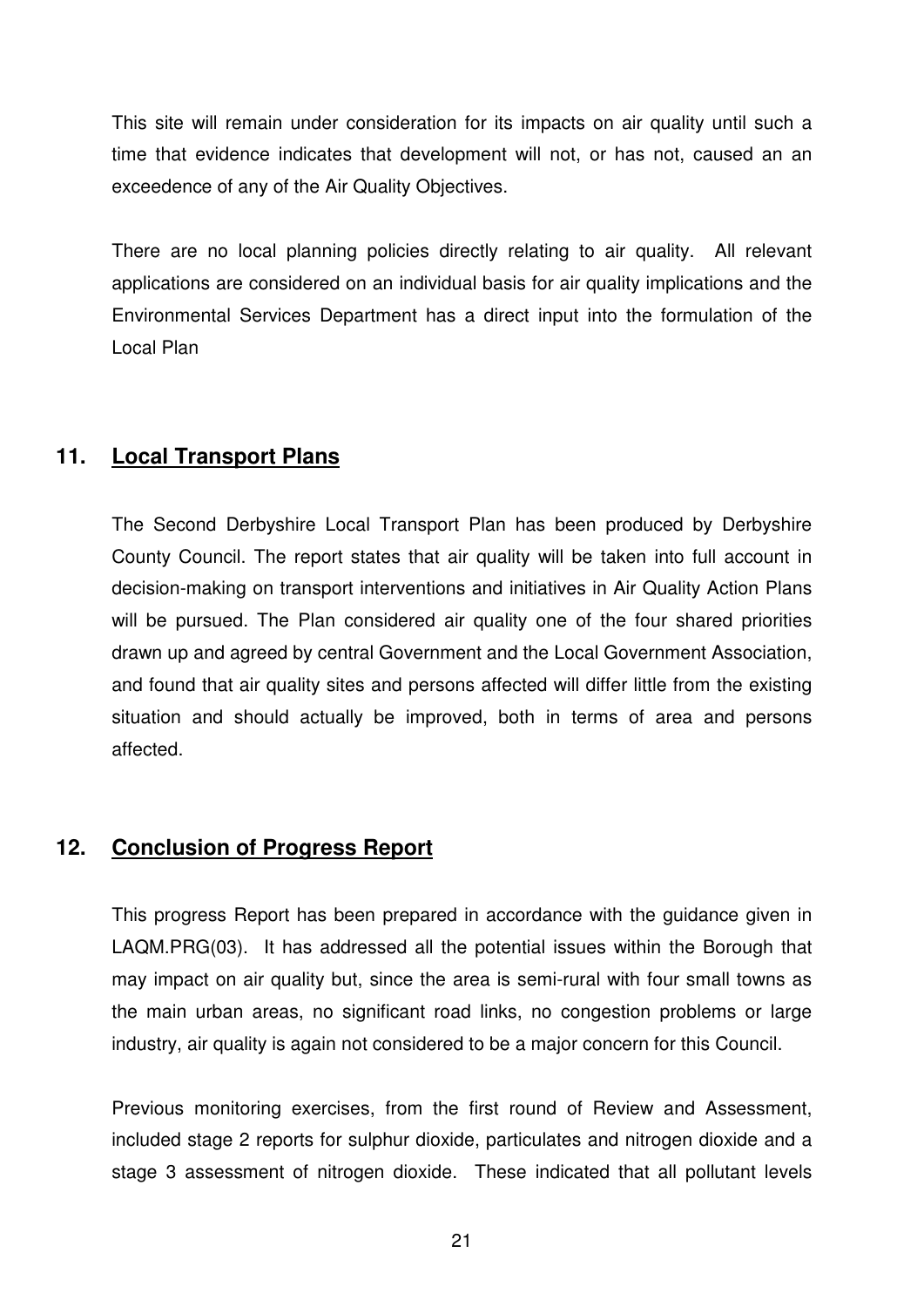This site will remain under consideration for its impacts on air quality until such a time that evidence indicates that development will not, or has not, caused an an exceedence of any of the Air Quality Objectives.

There are no local planning policies directly relating to air quality. All relevant applications are considered on an individual basis for air quality implications and the Environmental Services Department has a direct input into the formulation of the Local Plan

# **11. Local Transport Plans**

The Second Derbyshire Local Transport Plan has been produced by Derbyshire County Council. The report states that air quality will be taken into full account in decision-making on transport interventions and initiatives in Air Quality Action Plans will be pursued. The Plan considered air quality one of the four shared priorities drawn up and agreed by central Government and the Local Government Association, and found that air quality sites and persons affected will differ little from the existing situation and should actually be improved, both in terms of area and persons affected.

# **12. Conclusion of Progress Report**

This progress Report has been prepared in accordance with the guidance given in LAQM.PRG(03). It has addressed all the potential issues within the Borough that may impact on air quality but, since the area is semi-rural with four small towns as the main urban areas, no significant road links, no congestion problems or large industry, air quality is again not considered to be a major concern for this Council.

Previous monitoring exercises, from the first round of Review and Assessment, included stage 2 reports for sulphur dioxide, particulates and nitrogen dioxide and a stage 3 assessment of nitrogen dioxide. These indicated that all pollutant levels

21